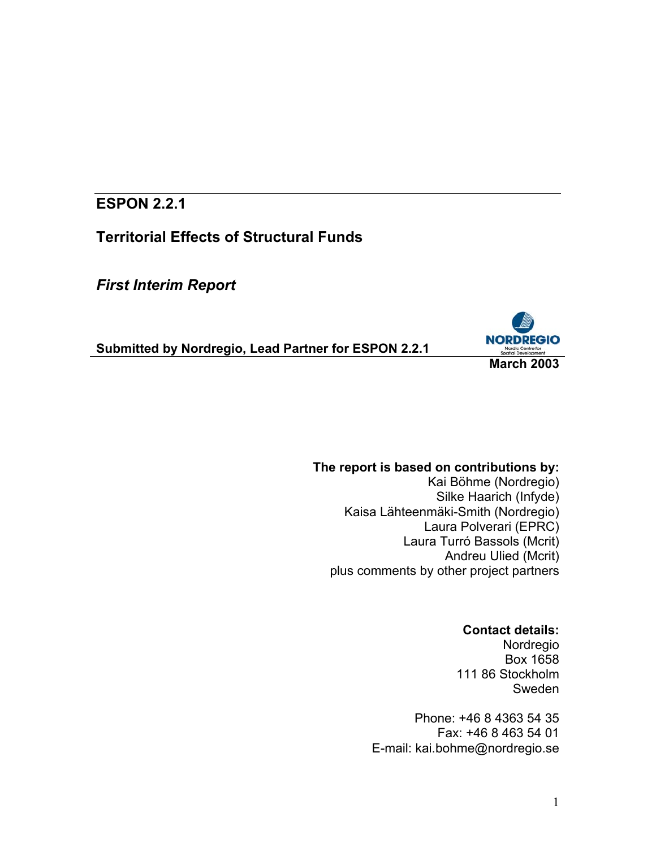## **ESPON 2.2.1**

**Territorial Effects of Structural Funds** 

*First Interim Report* 

**Submitted by Nordregio, Lead Partner for ESPON 2.2.1**



### **The report is based on contributions by:**

Kai Böhme (Nordregio) Silke Haarich (Infyde) Kaisa Lähteenmäki-Smith (Nordregio) Laura Polverari (EPRC) Laura Turró Bassols (Mcrit) Andreu Ulied (Mcrit) plus comments by other project partners

## **Contact details:**

Nordregio Box 1658 111 86 Stockholm Sweden

Phone: +46 8 4363 54 35 Fax: +46 8 463 54 01 E-mail: kai.bohme@nordregio.se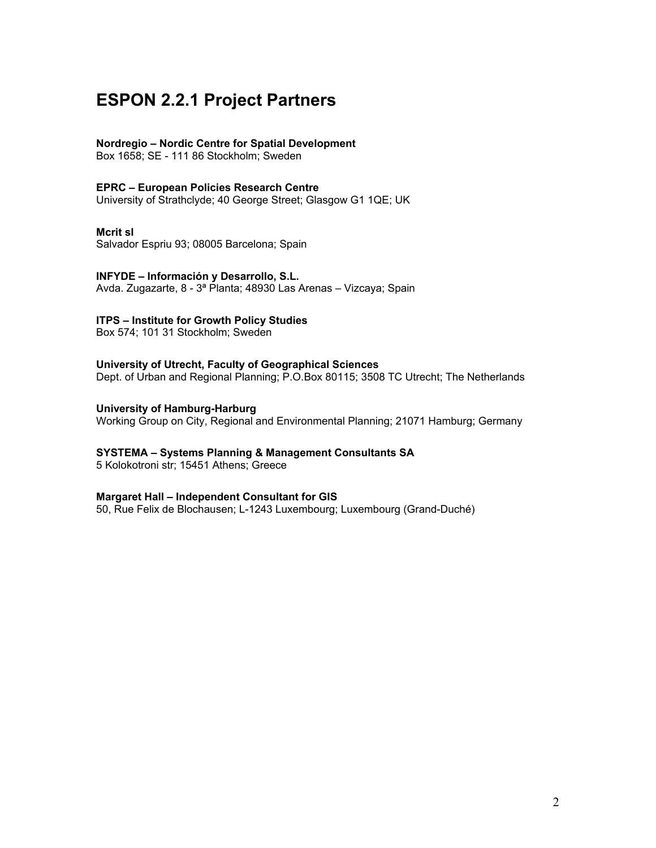# **ESPON 2.2.1 Project Partners**

#### **Nordregio – Nordic Centre for Spatial Development**

Box 1658; SE - 111 86 Stockholm; Sweden

#### **EPRC – European Policies Research Centre**

University of Strathclyde; 40 George Street; Glasgow G1 1QE; UK

#### **Mcrit sl**

Salvador Espriu 93; 08005 Barcelona; Spain

## **INFYDE – Información y Desarrollo, S.L.**

Avda. Zugazarte, 8 - 3ª Planta; 48930 Las Arenas – Vizcaya; Spain

#### **ITPS – Institute for Growth Policy Studies**

Box 574; 101 31 Stockholm; Sweden

### **University of Utrecht, Faculty of Geographical Sciences**

Dept. of Urban and Regional Planning; P.O.Box 80115; 3508 TC Utrecht; The Netherlands

#### **University of Hamburg-Harburg**

Working Group on City, Regional and Environmental Planning; 21071 Hamburg; Germany

#### **SYSTEMA – Systems Planning & Management Consultants SA**

5 Kolokotroni str; 15451 Athens; Greece

#### **Margaret Hall – Independent Consultant for GIS**

50, Rue Felix de Blochausen; L-1243 Luxembourg; Luxembourg (Grand-Duché)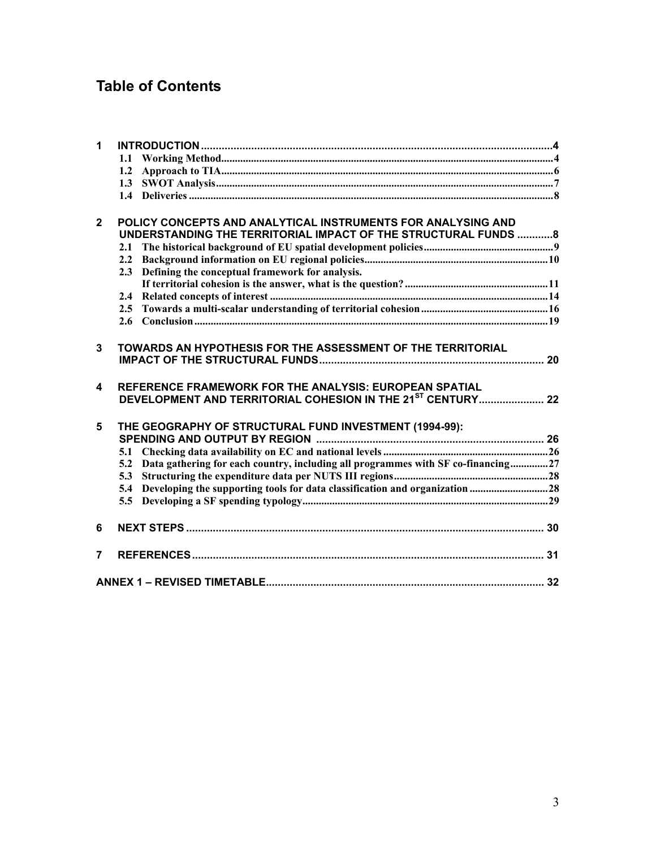# **Table of Contents**

| $\mathbf{1}$            |                                                                                      |  |
|-------------------------|--------------------------------------------------------------------------------------|--|
|                         | 1.1                                                                                  |  |
|                         | 1.2                                                                                  |  |
|                         | 1.3                                                                                  |  |
|                         |                                                                                      |  |
| $\overline{2}$          | POLICY CONCEPTS AND ANALYTICAL INSTRUMENTS FOR ANALYSING AND                         |  |
|                         | UNDERSTANDING THE TERRITORIAL IMPACT OF THE STRUCTURAL FUNDS  8                      |  |
|                         | 2.1                                                                                  |  |
|                         |                                                                                      |  |
|                         | 2.3 Defining the conceptual framework for analysis.                                  |  |
|                         |                                                                                      |  |
|                         |                                                                                      |  |
|                         |                                                                                      |  |
|                         |                                                                                      |  |
| $\overline{3}$          | TOWARDS AN HYPOTHESIS FOR THE ASSESSMENT OF THE TERRITORIAL                          |  |
|                         |                                                                                      |  |
| $\overline{\mathbf{4}}$ | REFERENCE FRAMEWORK FOR THE ANALYSIS: EUROPEAN SPATIAL                               |  |
|                         | DEVELOPMENT AND TERRITORIAL COHESION IN THE 21 <sup>ST</sup> CENTURY 22              |  |
| 5                       | THE GEOGRAPHY OF STRUCTURAL FUND INVESTMENT (1994-99):                               |  |
|                         |                                                                                      |  |
|                         |                                                                                      |  |
|                         | 5.2 Data gathering for each country, including all programmes with SF co-financing27 |  |
|                         | 5.3                                                                                  |  |
|                         | 5.4                                                                                  |  |
|                         |                                                                                      |  |
| 6                       |                                                                                      |  |
| $\overline{7}$          |                                                                                      |  |
|                         |                                                                                      |  |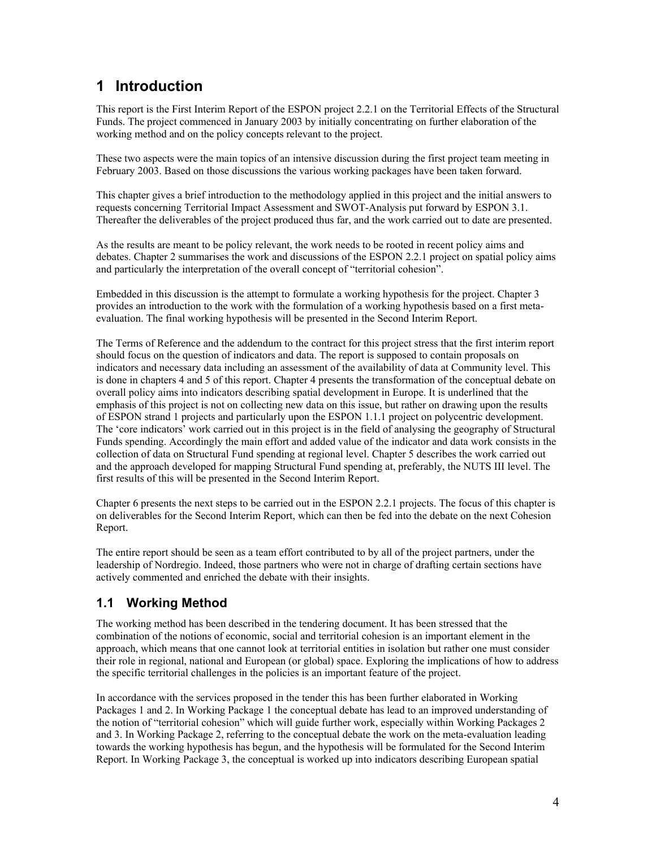## **1 Introduction**

This report is the First Interim Report of the ESPON project 2.2.1 on the Territorial Effects of the Structural Funds. The project commenced in January 2003 by initially concentrating on further elaboration of the working method and on the policy concepts relevant to the project.

These two aspects were the main topics of an intensive discussion during the first project team meeting in February 2003. Based on those discussions the various working packages have been taken forward.

This chapter gives a brief introduction to the methodology applied in this project and the initial answers to requests concerning Territorial Impact Assessment and SWOT-Analysis put forward by ESPON 3.1. Thereafter the deliverables of the project produced thus far, and the work carried out to date are presented.

As the results are meant to be policy relevant, the work needs to be rooted in recent policy aims and debates. Chapter 2 summarises the work and discussions of the ESPON 2.2.1 project on spatial policy aims and particularly the interpretation of the overall concept of "territorial cohesion".

Embedded in this discussion is the attempt to formulate a working hypothesis for the project. Chapter 3 provides an introduction to the work with the formulation of a working hypothesis based on a first metaevaluation. The final working hypothesis will be presented in the Second Interim Report.

The Terms of Reference and the addendum to the contract for this project stress that the first interim report should focus on the question of indicators and data. The report is supposed to contain proposals on indicators and necessary data including an assessment of the availability of data at Community level. This is done in chapters 4 and 5 of this report. Chapter 4 presents the transformation of the conceptual debate on overall policy aims into indicators describing spatial development in Europe. It is underlined that the emphasis of this project is not on collecting new data on this issue, but rather on drawing upon the results of ESPON strand 1 projects and particularly upon the ESPON 1.1.1 project on polycentric development. The 'core indicators' work carried out in this project is in the field of analysing the geography of Structural Funds spending. Accordingly the main effort and added value of the indicator and data work consists in the collection of data on Structural Fund spending at regional level. Chapter 5 describes the work carried out and the approach developed for mapping Structural Fund spending at, preferably, the NUTS III level. The first results of this will be presented in the Second Interim Report.

Chapter 6 presents the next steps to be carried out in the ESPON 2.2.1 projects. The focus of this chapter is on deliverables for the Second Interim Report, which can then be fed into the debate on the next Cohesion Report.

The entire report should be seen as a team effort contributed to by all of the project partners, under the leadership of Nordregio. Indeed, those partners who were not in charge of drafting certain sections have actively commented and enriched the debate with their insights.

## **1.1 Working Method**

The working method has been described in the tendering document. It has been stressed that the combination of the notions of economic, social and territorial cohesion is an important element in the approach, which means that one cannot look at territorial entities in isolation but rather one must consider their role in regional, national and European (or global) space. Exploring the implications of how to address the specific territorial challenges in the policies is an important feature of the project.

In accordance with the services proposed in the tender this has been further elaborated in Working Packages 1 and 2. In Working Package 1 the conceptual debate has lead to an improved understanding of the notion of "territorial cohesion" which will guide further work, especially within Working Packages 2 and 3. In Working Package 2, referring to the conceptual debate the work on the meta-evaluation leading towards the working hypothesis has begun, and the hypothesis will be formulated for the Second Interim Report. In Working Package 3, the conceptual is worked up into indicators describing European spatial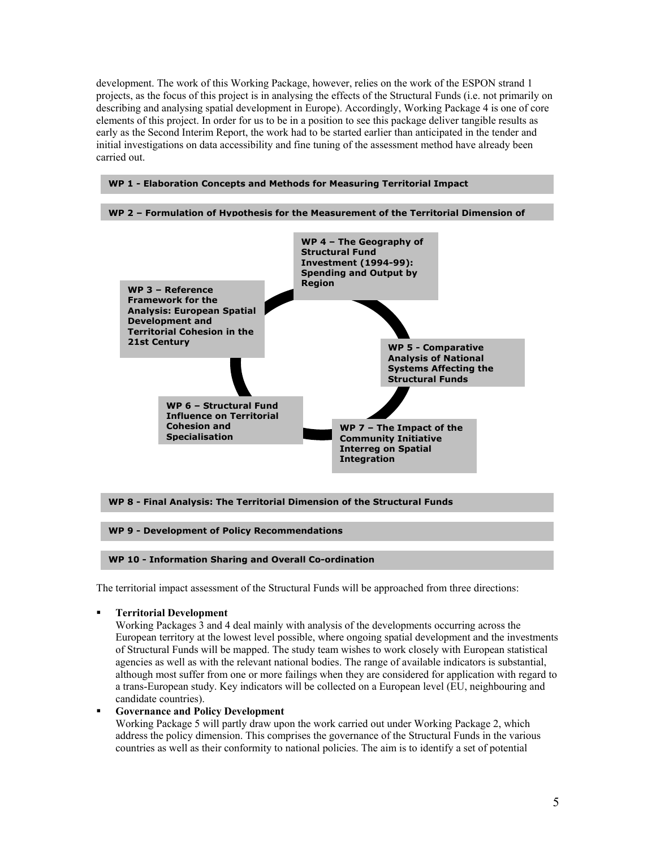development. The work of this Working Package, however, relies on the work of the ESPON strand 1 projects, as the focus of this project is in analysing the effects of the Structural Funds (i.e. not primarily on describing and analysing spatial development in Europe). Accordingly, Working Package 4 is one of core elements of this project. In order for us to be in a position to see this package deliver tangible results as early as the Second Interim Report, the work had to be started earlier than anticipated in the tender and initial investigations on data accessibility and fine tuning of the assessment method have already been carried out.



#### **WP 8 - Final Analysis: The Territorial Dimension of the Structural Funds**

#### **WP 9 - Development of Policy Recommendations**

#### **WP 10 - Information Sharing and Overall Co-ordination**

The territorial impact assessment of the Structural Funds will be approached from three directions:

**Territorial Development** 

Working Packages 3 and 4 deal mainly with analysis of the developments occurring across the European territory at the lowest level possible, where ongoing spatial development and the investments of Structural Funds will be mapped. The study team wishes to work closely with European statistical agencies as well as with the relevant national bodies. The range of available indicators is substantial, although most suffer from one or more failings when they are considered for application with regard to a trans-European study. Key indicators will be collected on a European level (EU, neighbouring and candidate countries).

**Governance and Policy Development**

Working Package 5 will partly draw upon the work carried out under Working Package 2, which address the policy dimension. This comprises the governance of the Structural Funds in the various countries as well as their conformity to national policies. The aim is to identify a set of potential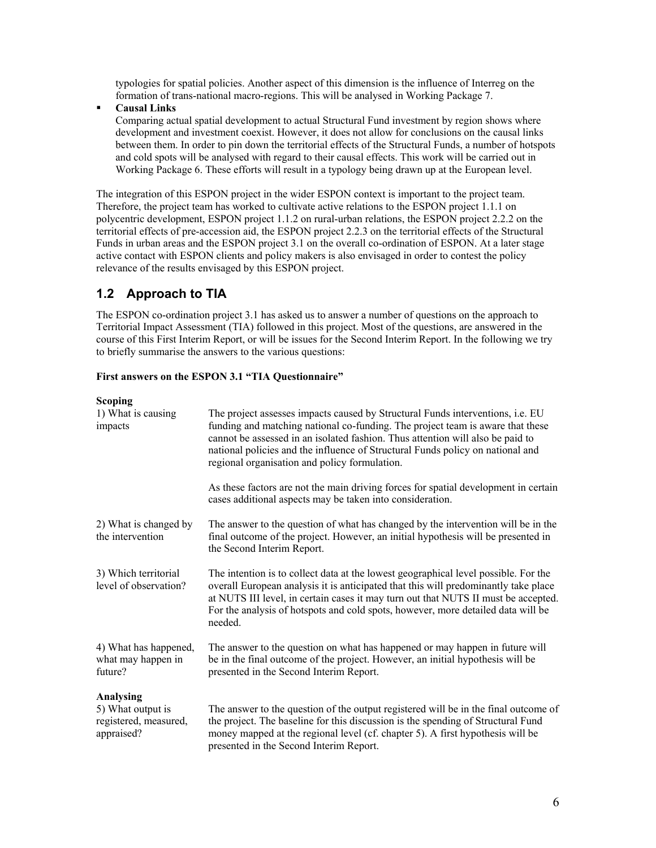typologies for spatial policies. Another aspect of this dimension is the influence of Interreg on the formation of trans-national macro-regions. This will be analysed in Working Package 7.

**Causal Links** 

Comparing actual spatial development to actual Structural Fund investment by region shows where development and investment coexist. However, it does not allow for conclusions on the causal links between them. In order to pin down the territorial effects of the Structural Funds, a number of hotspots and cold spots will be analysed with regard to their causal effects. This work will be carried out in Working Package 6. These efforts will result in a typology being drawn up at the European level.

The integration of this ESPON project in the wider ESPON context is important to the project team. Therefore, the project team has worked to cultivate active relations to the ESPON project 1.1.1 on polycentric development, ESPON project 1.1.2 on rural-urban relations, the ESPON project 2.2.2 on the territorial effects of pre-accession aid, the ESPON project 2.2.3 on the territorial effects of the Structural Funds in urban areas and the ESPON project 3.1 on the overall co-ordination of ESPON. At a later stage active contact with ESPON clients and policy makers is also envisaged in order to contest the policy relevance of the results envisaged by this ESPON project.

## **1.2 Approach to TIA**

The ESPON co-ordination project 3.1 has asked us to answer a number of questions on the approach to Territorial Impact Assessment (TIA) followed in this project. Most of the questions, are answered in the course of this First Interim Report, or will be issues for the Second Interim Report. In the following we try to briefly summarise the answers to the various questions:

#### **First answers on the ESPON 3.1 "TIA Questionnaire"**

#### **Scoping**

| осорше<br>1) What is causing<br>impacts                               | The project assesses impacts caused by Structural Funds interventions, i.e. EU<br>funding and matching national co-funding. The project team is aware that these<br>cannot be assessed in an isolated fashion. Thus attention will also be paid to<br>national policies and the influence of Structural Funds policy on national and<br>regional organisation and policy formulation.<br>As these factors are not the main driving forces for spatial development in certain<br>cases additional aspects may be taken into consideration. |
|-----------------------------------------------------------------------|-------------------------------------------------------------------------------------------------------------------------------------------------------------------------------------------------------------------------------------------------------------------------------------------------------------------------------------------------------------------------------------------------------------------------------------------------------------------------------------------------------------------------------------------|
|                                                                       |                                                                                                                                                                                                                                                                                                                                                                                                                                                                                                                                           |
| 2) What is changed by<br>the intervention                             | The answer to the question of what has changed by the intervention will be in the<br>final outcome of the project. However, an initial hypothesis will be presented in<br>the Second Interim Report.                                                                                                                                                                                                                                                                                                                                      |
| 3) Which territorial<br>level of observation?                         | The intention is to collect data at the lowest geographical level possible. For the<br>overall European analysis it is anticipated that this will predominantly take place<br>at NUTS III level, in certain cases it may turn out that NUTS II must be accepted.<br>For the analysis of hotspots and cold spots, however, more detailed data will be<br>needed.                                                                                                                                                                           |
| 4) What has happened,<br>what may happen in<br>future?                | The answer to the question on what has happened or may happen in future will<br>be in the final outcome of the project. However, an initial hypothesis will be<br>presented in the Second Interim Report.                                                                                                                                                                                                                                                                                                                                 |
| Analysing<br>5) What output is<br>registered, measured,<br>appraised? | The answer to the question of the output registered will be in the final outcome of<br>the project. The baseline for this discussion is the spending of Structural Fund<br>money mapped at the regional level (cf. chapter 5). A first hypothesis will be<br>presented in the Second Interim Report.                                                                                                                                                                                                                                      |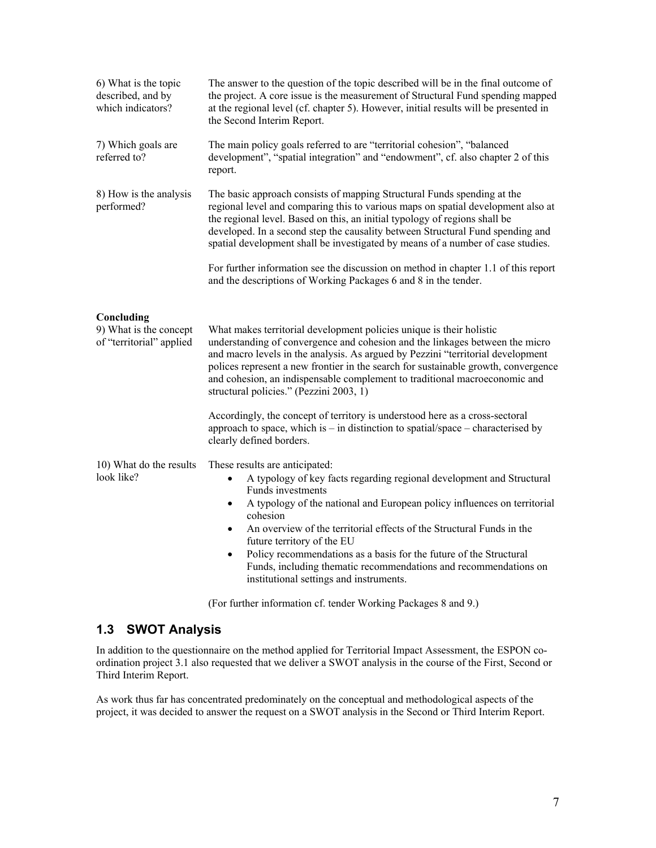| 6) What is the topic<br>described, and by<br>which indicators?   | The answer to the question of the topic described will be in the final outcome of<br>the project. A core issue is the measurement of Structural Fund spending mapped<br>at the regional level (cf. chapter 5). However, initial results will be presented in<br>the Second Interim Report.                                                                                                                                                                                                                                                                           |
|------------------------------------------------------------------|----------------------------------------------------------------------------------------------------------------------------------------------------------------------------------------------------------------------------------------------------------------------------------------------------------------------------------------------------------------------------------------------------------------------------------------------------------------------------------------------------------------------------------------------------------------------|
| 7) Which goals are<br>referred to?                               | The main policy goals referred to are "territorial cohesion", "balanced<br>development", "spatial integration" and "endowment", cf. also chapter 2 of this<br>report.                                                                                                                                                                                                                                                                                                                                                                                                |
| 8) How is the analysis<br>performed?                             | The basic approach consists of mapping Structural Funds spending at the<br>regional level and comparing this to various maps on spatial development also at<br>the regional level. Based on this, an initial typology of regions shall be<br>developed. In a second step the causality between Structural Fund spending and<br>spatial development shall be investigated by means of a number of case studies.                                                                                                                                                       |
|                                                                  | For further information see the discussion on method in chapter 1.1 of this report<br>and the descriptions of Working Packages 6 and 8 in the tender.                                                                                                                                                                                                                                                                                                                                                                                                                |
| Concluding<br>9) What is the concept<br>of "territorial" applied | What makes territorial development policies unique is their holistic<br>understanding of convergence and cohesion and the linkages between the micro<br>and macro levels in the analysis. As argued by Pezzini "territorial development<br>polices represent a new frontier in the search for sustainable growth, convergence<br>and cohesion, an indispensable complement to traditional macroeconomic and<br>structural policies." (Pezzini 2003, 1)                                                                                                               |
|                                                                  | Accordingly, the concept of territory is understood here as a cross-sectoral<br>approach to space, which is $-$ in distinction to spatial/space $-$ characterised by<br>clearly defined borders.                                                                                                                                                                                                                                                                                                                                                                     |
| 10) What do the results<br>look like?                            | These results are anticipated:<br>A typology of key facts regarding regional development and Structural<br>$\bullet$<br>Funds investments<br>A typology of the national and European policy influences on territorial<br>$\bullet$<br>cohesion<br>An overview of the territorial effects of the Structural Funds in the<br>$\bullet$<br>future territory of the EU<br>Policy recommendations as a basis for the future of the Structural<br>$\bullet$<br>Funds, including thematic recommendations and recommendations on<br>institutional settings and instruments. |

(For further information cf. tender Working Packages 8 and 9.)

## **1.3 SWOT Analysis**

In addition to the questionnaire on the method applied for Territorial Impact Assessment, the ESPON coordination project 3.1 also requested that we deliver a SWOT analysis in the course of the First, Second or Third Interim Report.

As work thus far has concentrated predominately on the conceptual and methodological aspects of the project, it was decided to answer the request on a SWOT analysis in the Second or Third Interim Report.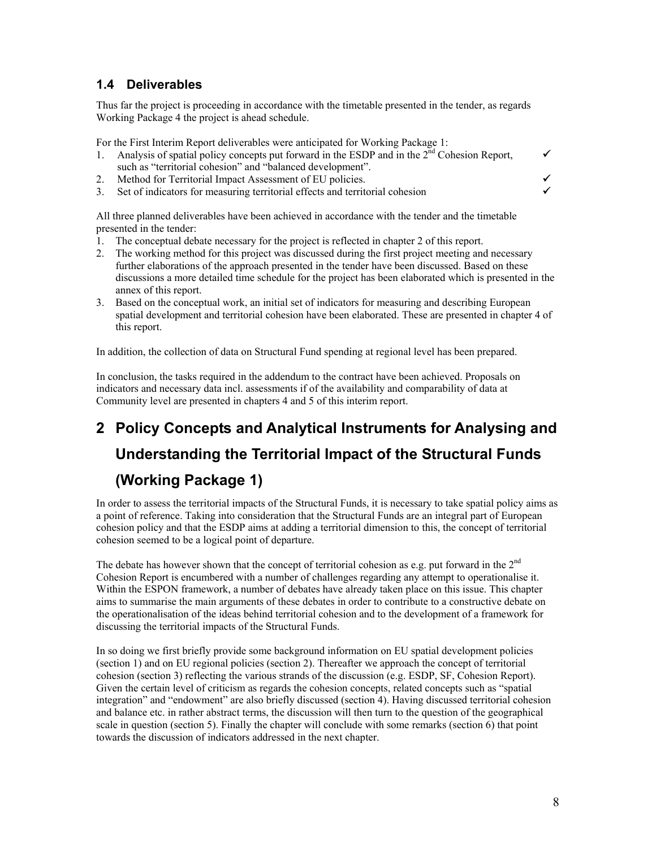## **1.4 Deliverables**

Thus far the project is proceeding in accordance with the timetable presented in the tender, as regards Working Package 4 the project is ahead schedule.

For the First Interim Report deliverables were anticipated for Working Package 1:

- 1. Analysis of spatial policy concepts put forward in the ESDP and in the  $2^{\overline{n}d}$  Cohesion Report, such as "territorial cohesion" and "balanced development".
- 2. Method for Territorial Impact Assessment of EU policies.
- 3. Set of indicators for measuring territorial effects and territorial cohesion 9

All three planned deliverables have been achieved in accordance with the tender and the timetable presented in the tender:

- 1. The conceptual debate necessary for the project is reflected in chapter 2 of this report.
- 2. The working method for this project was discussed during the first project meeting and necessary further elaborations of the approach presented in the tender have been discussed. Based on these discussions a more detailed time schedule for the project has been elaborated which is presented in the annex of this report.
- 3. Based on the conceptual work, an initial set of indicators for measuring and describing European spatial development and territorial cohesion have been elaborated. These are presented in chapter 4 of this report.

In addition, the collection of data on Structural Fund spending at regional level has been prepared.

In conclusion, the tasks required in the addendum to the contract have been achieved. Proposals on indicators and necessary data incl. assessments if of the availability and comparability of data at Community level are presented in chapters 4 and 5 of this interim report.

# **2 Policy Concepts and Analytical Instruments for Analysing and Understanding the Territorial Impact of the Structural Funds (Working Package 1)**

In order to assess the territorial impacts of the Structural Funds, it is necessary to take spatial policy aims as a point of reference. Taking into consideration that the Structural Funds are an integral part of European cohesion policy and that the ESDP aims at adding a territorial dimension to this, the concept of territorial cohesion seemed to be a logical point of departure.

The debate has however shown that the concept of territorial cohesion as e.g. put forward in the  $2<sup>nd</sup>$ Cohesion Report is encumbered with a number of challenges regarding any attempt to operationalise it. Within the ESPON framework, a number of debates have already taken place on this issue. This chapter aims to summarise the main arguments of these debates in order to contribute to a constructive debate on the operationalisation of the ideas behind territorial cohesion and to the development of a framework for discussing the territorial impacts of the Structural Funds.

In so doing we first briefly provide some background information on EU spatial development policies (section 1) and on EU regional policies (section 2). Thereafter we approach the concept of territorial cohesion (section 3) reflecting the various strands of the discussion (e.g. ESDP, SF, Cohesion Report). Given the certain level of criticism as regards the cohesion concepts, related concepts such as "spatial integration" and "endowment" are also briefly discussed (section 4). Having discussed territorial cohesion and balance etc. in rather abstract terms, the discussion will then turn to the question of the geographical scale in question (section 5). Finally the chapter will conclude with some remarks (section 6) that point towards the discussion of indicators addressed in the next chapter.

 $\checkmark$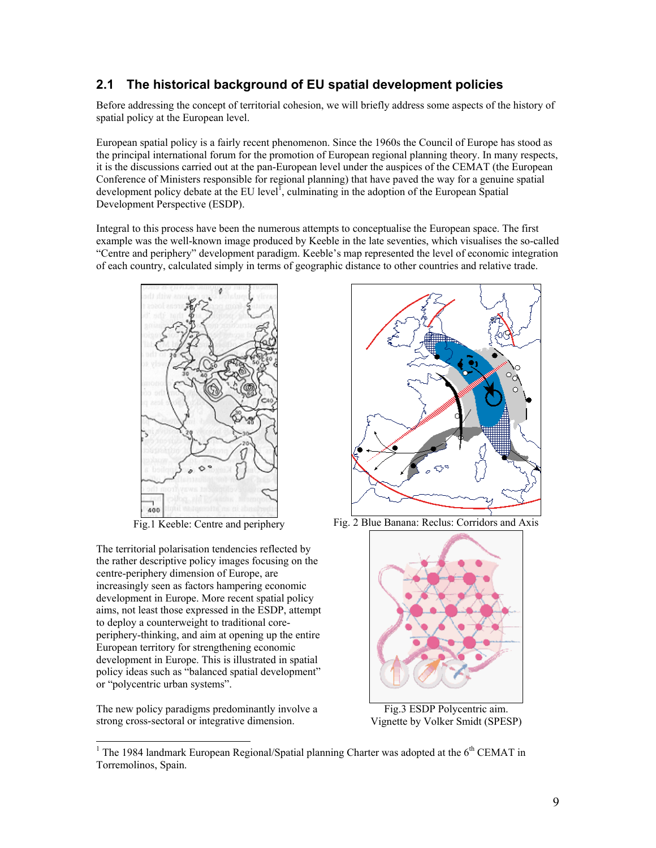## **2.1 The historical background of EU spatial development policies**

Before addressing the concept of territorial cohesion, we will briefly address some aspects of the history of spatial policy at the European level.

European spatial policy is a fairly recent phenomenon. Since the 1960s the Council of Europe has stood as the principal international forum for the promotion of European regional planning theory. In many respects, it is the discussions carried out at the pan-European level under the auspices of the CEMAT (the European Conference of Ministers responsible for regional planning) that have paved the way for a genuine spatial development policy debate at the EU level<sup> $I$ </sup>, culminating in the adoption of the European Spatial Development Perspective (ESDP).

Integral to this process have been the numerous attempts to conceptualise the European space. The first example was the well-known image produced by Keeble in the late seventies, which visualises the so-called "Centre and periphery" development paradigm. Keeble's map represented the level of economic integration of each country, calculated simply in terms of geographic distance to other countries and relative trade.



The territorial polarisation tendencies reflected by the rather descriptive policy images focusing on the centre-periphery dimension of Europe, are increasingly seen as factors hampering economic development in Europe. More recent spatial policy aims, not least those expressed in the ESDP, attempt to deploy a counterweight to traditional coreperiphery-thinking, and aim at opening up the entire European territory for strengthening economic development in Europe. This is illustrated in spatial policy ideas such as "balanced spatial development" or "polycentric urban systems".

The new policy paradigms predominantly involve a strong cross-sectoral or integrative dimension.

l



Fig.1 Keeble: Centre and periphery Fig. 2 Blue Banana: Reclus: Corridors and Axis



Fig.3 ESDP Polycentric aim. Vignette by Volker Smidt (SPESP)

<sup>&</sup>lt;sup>1</sup> The 1984 landmark European Regional/Spatial planning Charter was adopted at the  $6<sup>th</sup>$  CEMAT in Torremolinos, Spain.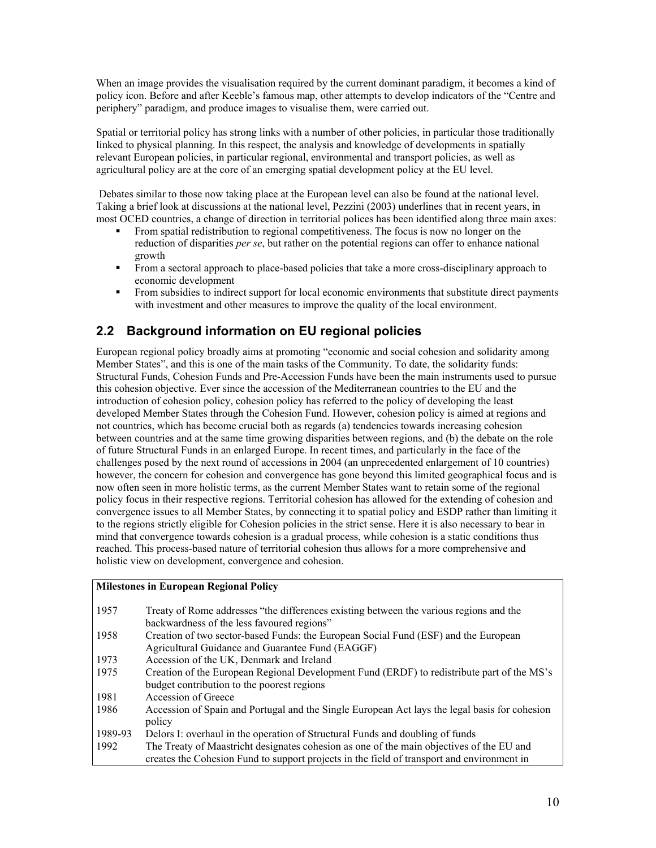When an image provides the visualisation required by the current dominant paradigm, it becomes a kind of policy icon. Before and after Keeble's famous map, other attempts to develop indicators of the "Centre and periphery" paradigm, and produce images to visualise them, were carried out.

Spatial or territorial policy has strong links with a number of other policies, in particular those traditionally linked to physical planning. In this respect, the analysis and knowledge of developments in spatially relevant European policies, in particular regional, environmental and transport policies, as well as agricultural policy are at the core of an emerging spatial development policy at the EU level.

 Debates similar to those now taking place at the European level can also be found at the national level. Taking a brief look at discussions at the national level, Pezzini (2003) underlines that in recent years, in most OCED countries, a change of direction in territorial polices has been identified along three main axes:

- From spatial redistribution to regional competitiveness. The focus is now no longer on the reduction of disparities *per se*, but rather on the potential regions can offer to enhance national growth
- **From a sectoral approach to place-based policies that take a more cross-disciplinary approach to** economic development
- From subsidies to indirect support for local economic environments that substitute direct payments with investment and other measures to improve the quality of the local environment.

## **2.2 Background information on EU regional policies**

European regional policy broadly aims at promoting "economic and social cohesion and solidarity among Member States", and this is one of the main tasks of the Community. To date, the solidarity funds: Structural Funds, Cohesion Funds and Pre-Accession Funds have been the main instruments used to pursue this cohesion objective. Ever since the accession of the Mediterranean countries to the EU and the introduction of cohesion policy, cohesion policy has referred to the policy of developing the least developed Member States through the Cohesion Fund. However, cohesion policy is aimed at regions and not countries, which has become crucial both as regards (a) tendencies towards increasing cohesion between countries and at the same time growing disparities between regions, and (b) the debate on the role of future Structural Funds in an enlarged Europe. In recent times, and particularly in the face of the challenges posed by the next round of accessions in 2004 (an unprecedented enlargement of 10 countries) however, the concern for cohesion and convergence has gone beyond this limited geographical focus and is now often seen in more holistic terms, as the current Member States want to retain some of the regional policy focus in their respective regions. Territorial cohesion has allowed for the extending of cohesion and convergence issues to all Member States, by connecting it to spatial policy and ESDP rather than limiting it to the regions strictly eligible for Cohesion policies in the strict sense. Here it is also necessary to bear in mind that convergence towards cohesion is a gradual process, while cohesion is a static conditions thus reached. This process-based nature of territorial cohesion thus allows for a more comprehensive and holistic view on development, convergence and cohesion.

#### **Milestones in European Regional Policy**

| 1957    | Treaty of Rome addresses "the differences existing between the various regions and the        |
|---------|-----------------------------------------------------------------------------------------------|
|         | backwardness of the less favoured regions"                                                    |
| 1958    | Creation of two sector-based Funds: the European Social Fund (ESF) and the European           |
|         | Agricultural Guidance and Guarantee Fund (EAGGF)                                              |
| 1973    | Accession of the UK, Denmark and Ireland                                                      |
| 1975    | Creation of the European Regional Development Fund (ERDF) to redistribute part of the MS's    |
|         | budget contribution to the poorest regions                                                    |
| 1981    | Accession of Greece                                                                           |
| 1986    | Accession of Spain and Portugal and the Single European Act lays the legal basis for cohesion |
|         | policy                                                                                        |
| 1989-93 | Delors I: overhaul in the operation of Structural Funds and doubling of funds                 |
| 1992    | The Treaty of Maastricht designates cohesion as one of the main objectives of the EU and      |
|         | creates the Cohesion Fund to support projects in the field of transport and environment in    |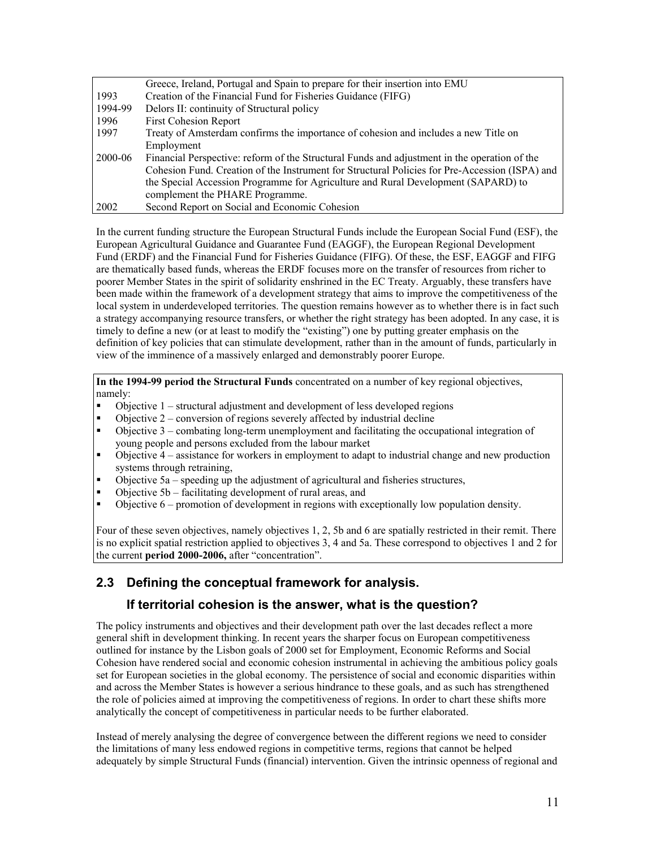|         | Greece, Ireland, Portugal and Spain to prepare for their insertion into EMU                    |
|---------|------------------------------------------------------------------------------------------------|
| 1993    | Creation of the Financial Fund for Fisheries Guidance (FIFG)                                   |
| 1994-99 | Delors II: continuity of Structural policy                                                     |
| 1996    | <b>First Cohesion Report</b>                                                                   |
| 1997    | Treaty of Amsterdam confirms the importance of cohesion and includes a new Title on            |
|         | Employment                                                                                     |
| 2000-06 | Financial Perspective: reform of the Structural Funds and adjustment in the operation of the   |
|         | Cohesion Fund. Creation of the Instrument for Structural Policies for Pre-Accession (ISPA) and |
|         | the Special Accession Programme for Agriculture and Rural Development (SAPARD) to              |
|         | complement the PHARE Programme.                                                                |
| 2002    | Second Report on Social and Economic Cohesion                                                  |

In the current funding structure the European Structural Funds include the European Social Fund (ESF), the European Agricultural Guidance and Guarantee Fund (EAGGF), the European Regional Development Fund (ERDF) and the Financial Fund for Fisheries Guidance (FIFG). Of these, the ESF, EAGGF and FIFG are thematically based funds, whereas the ERDF focuses more on the transfer of resources from richer to poorer Member States in the spirit of solidarity enshrined in the EC Treaty. Arguably, these transfers have been made within the framework of a development strategy that aims to improve the competitiveness of the local system in underdeveloped territories. The question remains however as to whether there is in fact such a strategy accompanying resource transfers, or whether the right strategy has been adopted. In any case, it is timely to define a new (or at least to modify the "existing") one by putting greater emphasis on the definition of key policies that can stimulate development, rather than in the amount of funds, particularly in view of the imminence of a massively enlarged and demonstrably poorer Europe.

**In the 1994-99 period the Structural Funds** concentrated on a number of key regional objectives, namely:

- Objective 1 structural adjustment and development of less developed regions
- Objective 2 conversion of regions severely affected by industrial decline<br>■ Objective 3 combating long-term unemployment and facilitating the occur
- Objective 3 combating long-term unemployment and facilitating the occupational integration of young people and persons excluded from the labour market
- Objective 4 assistance for workers in employment to adapt to industrial change and new production systems through retraining,
- Objective 5a speeding up the adjustment of agricultural and fisheries structures,
- Objective 5b facilitating development of rural areas, and<br>■ Objective 6 promotion of development in regions with ex-
- Objective 6 promotion of development in regions with exceptionally low population density.

Four of these seven objectives, namely objectives 1, 2, 5b and 6 are spatially restricted in their remit. There is no explicit spatial restriction applied to objectives 3, 4 and 5a. These correspond to objectives 1 and 2 for the current **period 2000-2006,** after "concentration".

## **2.3 Defining the conceptual framework for analysis.**

## **If territorial cohesion is the answer, what is the question?**

The policy instruments and objectives and their development path over the last decades reflect a more general shift in development thinking. In recent years the sharper focus on European competitiveness outlined for instance by the Lisbon goals of 2000 set for Employment, Economic Reforms and Social Cohesion have rendered social and economic cohesion instrumental in achieving the ambitious policy goals set for European societies in the global economy. The persistence of social and economic disparities within and across the Member States is however a serious hindrance to these goals, and as such has strengthened the role of policies aimed at improving the competitiveness of regions. In order to chart these shifts more analytically the concept of competitiveness in particular needs to be further elaborated.

Instead of merely analysing the degree of convergence between the different regions we need to consider the limitations of many less endowed regions in competitive terms, regions that cannot be helped adequately by simple Structural Funds (financial) intervention. Given the intrinsic openness of regional and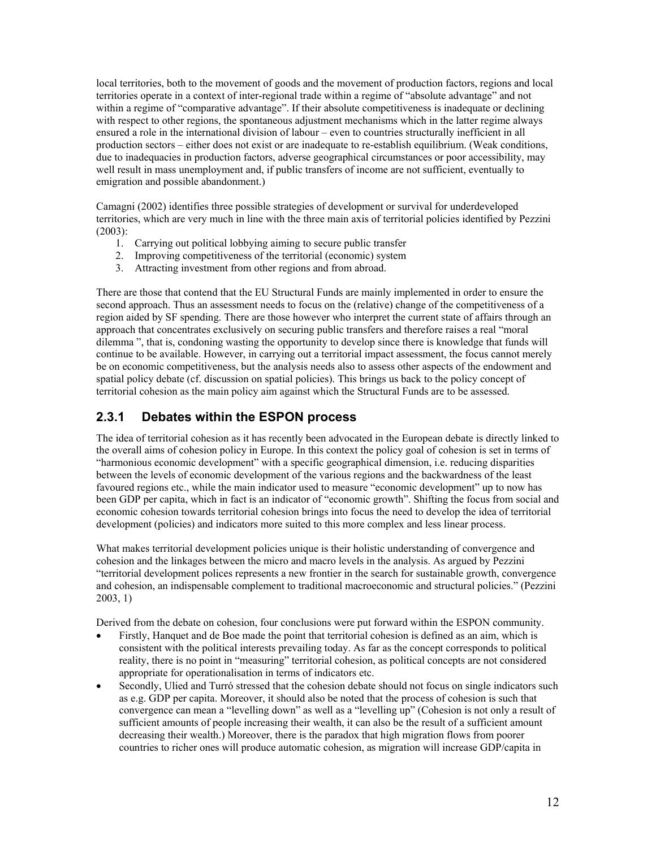local territories, both to the movement of goods and the movement of production factors, regions and local territories operate in a context of inter-regional trade within a regime of "absolute advantage" and not within a regime of "comparative advantage". If their absolute competitiveness is inadequate or declining with respect to other regions, the spontaneous adjustment mechanisms which in the latter regime always ensured a role in the international division of labour – even to countries structurally inefficient in all production sectors – either does not exist or are inadequate to re-establish equilibrium. (Weak conditions, due to inadequacies in production factors, adverse geographical circumstances or poor accessibility, may well result in mass unemployment and, if public transfers of income are not sufficient, eventually to emigration and possible abandonment.)

Camagni (2002) identifies three possible strategies of development or survival for underdeveloped territories, which are very much in line with the three main axis of territorial policies identified by Pezzini (2003):

- 1. Carrying out political lobbying aiming to secure public transfer
- 2. Improving competitiveness of the territorial (economic) system
- 3. Attracting investment from other regions and from abroad.

There are those that contend that the EU Structural Funds are mainly implemented in order to ensure the second approach. Thus an assessment needs to focus on the (relative) change of the competitiveness of a region aided by SF spending. There are those however who interpret the current state of affairs through an approach that concentrates exclusively on securing public transfers and therefore raises a real "moral dilemma ", that is, condoning wasting the opportunity to develop since there is knowledge that funds will continue to be available. However, in carrying out a territorial impact assessment, the focus cannot merely be on economic competitiveness, but the analysis needs also to assess other aspects of the endowment and spatial policy debate (cf. discussion on spatial policies). This brings us back to the policy concept of territorial cohesion as the main policy aim against which the Structural Funds are to be assessed.

## **2.3.1 Debates within the ESPON process**

The idea of territorial cohesion as it has recently been advocated in the European debate is directly linked to the overall aims of cohesion policy in Europe. In this context the policy goal of cohesion is set in terms of "harmonious economic development" with a specific geographical dimension, i.e. reducing disparities between the levels of economic development of the various regions and the backwardness of the least favoured regions etc., while the main indicator used to measure "economic development" up to now has been GDP per capita, which in fact is an indicator of "economic growth". Shifting the focus from social and economic cohesion towards territorial cohesion brings into focus the need to develop the idea of territorial development (policies) and indicators more suited to this more complex and less linear process.

What makes territorial development policies unique is their holistic understanding of convergence and cohesion and the linkages between the micro and macro levels in the analysis. As argued by Pezzini "territorial development polices represents a new frontier in the search for sustainable growth, convergence and cohesion, an indispensable complement to traditional macroeconomic and structural policies." (Pezzini 2003, 1)

Derived from the debate on cohesion, four conclusions were put forward within the ESPON community.

- Firstly, Hanquet and de Boe made the point that territorial cohesion is defined as an aim, which is consistent with the political interests prevailing today. As far as the concept corresponds to political reality, there is no point in "measuring" territorial cohesion, as political concepts are not considered appropriate for operationalisation in terms of indicators etc.
- Secondly, Ulied and Turró stressed that the cohesion debate should not focus on single indicators such as e.g. GDP per capita. Moreover, it should also be noted that the process of cohesion is such that convergence can mean a "levelling down" as well as a "levelling up" (Cohesion is not only a result of sufficient amounts of people increasing their wealth, it can also be the result of a sufficient amount decreasing their wealth.) Moreover, there is the paradox that high migration flows from poorer countries to richer ones will produce automatic cohesion, as migration will increase GDP/capita in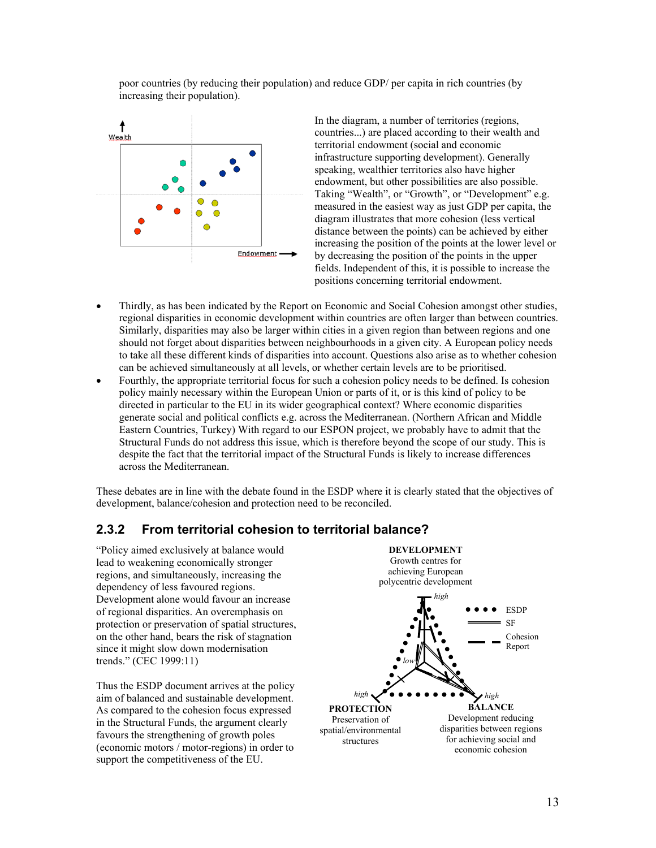poor countries (by reducing their population) and reduce GDP/ per capita in rich countries (by increasing their population).



In the diagram, a number of territories (regions, countries...) are placed according to their wealth and territorial endowment (social and economic infrastructure supporting development). Generally speaking, wealthier territories also have higher endowment, but other possibilities are also possible. Taking "Wealth", or "Growth", or "Development" e.g. measured in the easiest way as just GDP per capita, the diagram illustrates that more cohesion (less vertical distance between the points) can be achieved by either increasing the position of the points at the lower level or by decreasing the position of the points in the upper fields. Independent of this, it is possible to increase the positions concerning territorial endowment.

- Thirdly, as has been indicated by the Report on Economic and Social Cohesion amongst other studies, regional disparities in economic development within countries are often larger than between countries. Similarly, disparities may also be larger within cities in a given region than between regions and one should not forget about disparities between neighbourhoods in a given city. A European policy needs to take all these different kinds of disparities into account. Questions also arise as to whether cohesion can be achieved simultaneously at all levels, or whether certain levels are to be prioritised.
- Fourthly, the appropriate territorial focus for such a cohesion policy needs to be defined. Is cohesion policy mainly necessary within the European Union or parts of it, or is this kind of policy to be directed in particular to the EU in its wider geographical context? Where economic disparities generate social and political conflicts e.g. across the Mediterranean. (Northern African and Middle Eastern Countries, Turkey) With regard to our ESPON project, we probably have to admit that the Structural Funds do not address this issue, which is therefore beyond the scope of our study. This is despite the fact that the territorial impact of the Structural Funds is likely to increase differences across the Mediterranean.

These debates are in line with the debate found in the ESDP where it is clearly stated that the objectives of development, balance/cohesion and protection need to be reconciled.

## **2.3.2 From territorial cohesion to territorial balance?**

"Policy aimed exclusively at balance would lead to weakening economically stronger regions, and simultaneously, increasing the dependency of less favoured regions. Development alone would favour an increase of regional disparities. An overemphasis on protection or preservation of spatial structures, on the other hand, bears the risk of stagnation since it might slow down modernisation trends." (CEC 1999:11)

Thus the ESDP document arrives at the policy aim of balanced and sustainable development. As compared to the cohesion focus expressed in the Structural Funds, the argument clearly favours the strengthening of growth poles (economic motors / motor-regions) in order to support the competitiveness of the EU.

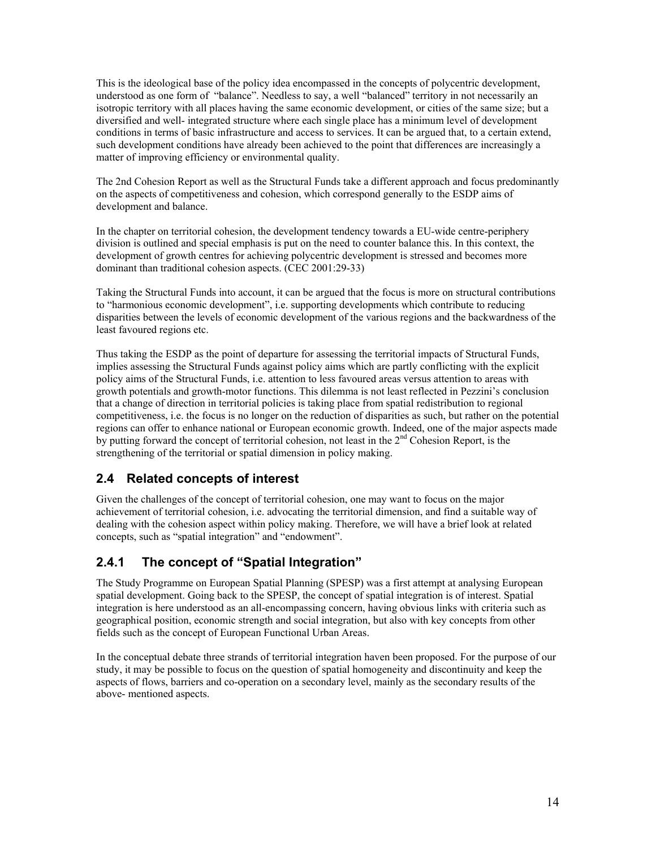This is the ideological base of the policy idea encompassed in the concepts of polycentric development, understood as one form of "balance". Needless to say, a well "balanced" territory in not necessarily an isotropic territory with all places having the same economic development, or cities of the same size; but a diversified and well- integrated structure where each single place has a minimum level of development conditions in terms of basic infrastructure and access to services. It can be argued that, to a certain extend, such development conditions have already been achieved to the point that differences are increasingly a matter of improving efficiency or environmental quality.

The 2nd Cohesion Report as well as the Structural Funds take a different approach and focus predominantly on the aspects of competitiveness and cohesion, which correspond generally to the ESDP aims of development and balance.

In the chapter on territorial cohesion, the development tendency towards a EU-wide centre-periphery division is outlined and special emphasis is put on the need to counter balance this. In this context, the development of growth centres for achieving polycentric development is stressed and becomes more dominant than traditional cohesion aspects. (CEC 2001:29-33)

Taking the Structural Funds into account, it can be argued that the focus is more on structural contributions to "harmonious economic development", i.e. supporting developments which contribute to reducing disparities between the levels of economic development of the various regions and the backwardness of the least favoured regions etc.

Thus taking the ESDP as the point of departure for assessing the territorial impacts of Structural Funds, implies assessing the Structural Funds against policy aims which are partly conflicting with the explicit policy aims of the Structural Funds, i.e. attention to less favoured areas versus attention to areas with growth potentials and growth-motor functions. This dilemma is not least reflected in Pezzini's conclusion that a change of direction in territorial policies is taking place from spatial redistribution to regional competitiveness, i.e. the focus is no longer on the reduction of disparities as such, but rather on the potential regions can offer to enhance national or European economic growth. Indeed, one of the major aspects made by putting forward the concept of territorial cohesion, not least in the  $2<sup>nd</sup>$  Cohesion Report, is the strengthening of the territorial or spatial dimension in policy making.

## **2.4 Related concepts of interest**

Given the challenges of the concept of territorial cohesion, one may want to focus on the major achievement of territorial cohesion, i.e. advocating the territorial dimension, and find a suitable way of dealing with the cohesion aspect within policy making. Therefore, we will have a brief look at related concepts, such as "spatial integration" and "endowment".

## **2.4.1 The concept of "Spatial Integration"**

The Study Programme on European Spatial Planning (SPESP) was a first attempt at analysing European spatial development. Going back to the SPESP, the concept of spatial integration is of interest. Spatial integration is here understood as an all-encompassing concern, having obvious links with criteria such as geographical position, economic strength and social integration, but also with key concepts from other fields such as the concept of European Functional Urban Areas.

In the conceptual debate three strands of territorial integration haven been proposed. For the purpose of our study, it may be possible to focus on the question of spatial homogeneity and discontinuity and keep the aspects of flows, barriers and co-operation on a secondary level, mainly as the secondary results of the above- mentioned aspects.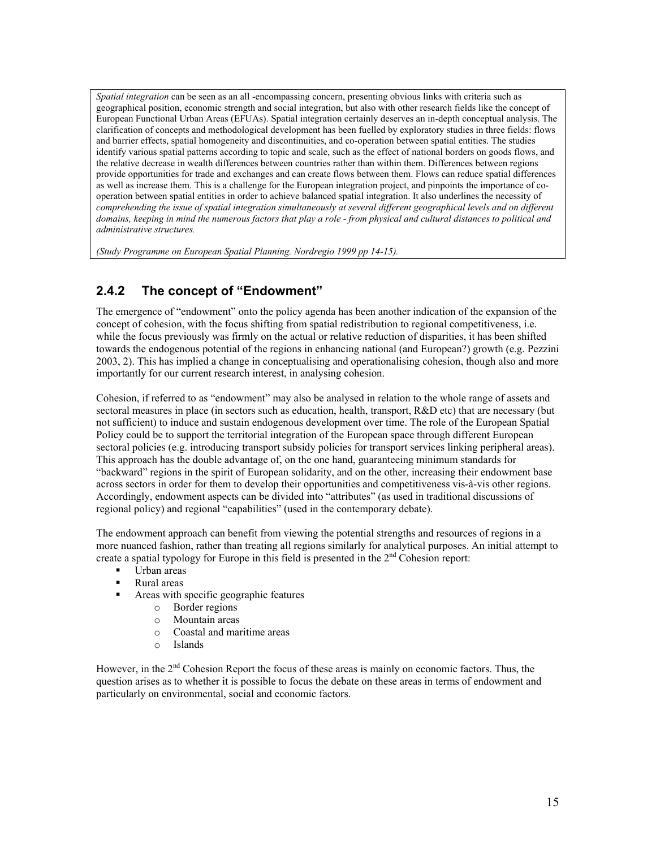*Spatial integration* can be seen as an all -encompassing concern, presenting obvious links with criteria such as geographical position, economic strength and social integration, but also with other research fields like the concept of European Functional Urban Areas (EFUAs). Spatial integration certainly deserves an in-depth conceptual analysis. The clarification of concepts and methodological development has been fuelled by exploratory studies in three fields: flows and barrier effects, spatial homogeneity and discontinuities, and co-operation between spatial entities. The studies identify various spatial patterns according to topic and scale, such as the effect of national borders on goods flows, and the relative decrease in wealth differences between countries rather than within them. Differences between regions provide opportunities for trade and exchanges and can create flows between them. Flows can reduce spatial differences as well as increase them. This is a challenge for the European integration project, and pinpoints the importance of cooperation between spatial entities in order to achieve balanced spatial integration. It also underlines the necessity of comprehending the issue of spatial integration simultaneously at several different geographical levels and on different *domains, keeping in mind the numerous factors that play a role - from physical and cultural distances to political and administrative structures.* 

*(Study Programme on European Spatial Planning. Nordregio 1999 pp 14-15).* 

## **2.4.2 The concept of "Endowment"**

The emergence of "endowment" onto the policy agenda has been another indication of the expansion of the concept of cohesion, with the focus shifting from spatial redistribution to regional competitiveness, i.e. while the focus previously was firmly on the actual or relative reduction of disparities, it has been shifted towards the endogenous potential of the regions in enhancing national (and European?) growth (e.g. Pezzini 2003, 2). This has implied a change in conceptualising and operationalising cohesion, though also and more importantly for our current research interest, in analysing cohesion.

Cohesion, if referred to as "endowment" may also be analysed in relation to the whole range of assets and sectoral measures in place (in sectors such as education, health, transport, R&D etc) that are necessary (but not sufficient) to induce and sustain endogenous development over time. The role of the European Spatial Policy could be to support the territorial integration of the European space through different European sectoral policies (e.g. introducing transport subsidy policies for transport services linking peripheral areas). This approach has the double advantage of, on the one hand, guaranteeing minimum standards for "backward" regions in the spirit of European solidarity, and on the other, increasing their endowment base across sectors in order for them to develop their opportunities and competitiveness vis-à-vis other regions. Accordingly, endowment aspects can be divided into "attributes" (as used in traditional discussions of regional policy) and regional "capabilities" (used in the contemporary debate).

The endowment approach can benefit from viewing the potential strengths and resources of regions in a more nuanced fashion, rather than treating all regions similarly for analytical purposes. An initial attempt to create a spatial typology for Europe in this field is presented in the  $2<sup>nd</sup>$  Cohesion report:

- Urban areas
- Rural areas
- Areas with specific geographic features
	- o Border regions
	- o Mountain areas
	- o Coastal and maritime areas
	- o Islands

However, in the 2<sup>nd</sup> Cohesion Report the focus of these areas is mainly on economic factors. Thus, the question arises as to whether it is possible to focus the debate on these areas in terms of endowment and particularly on environmental, social and economic factors.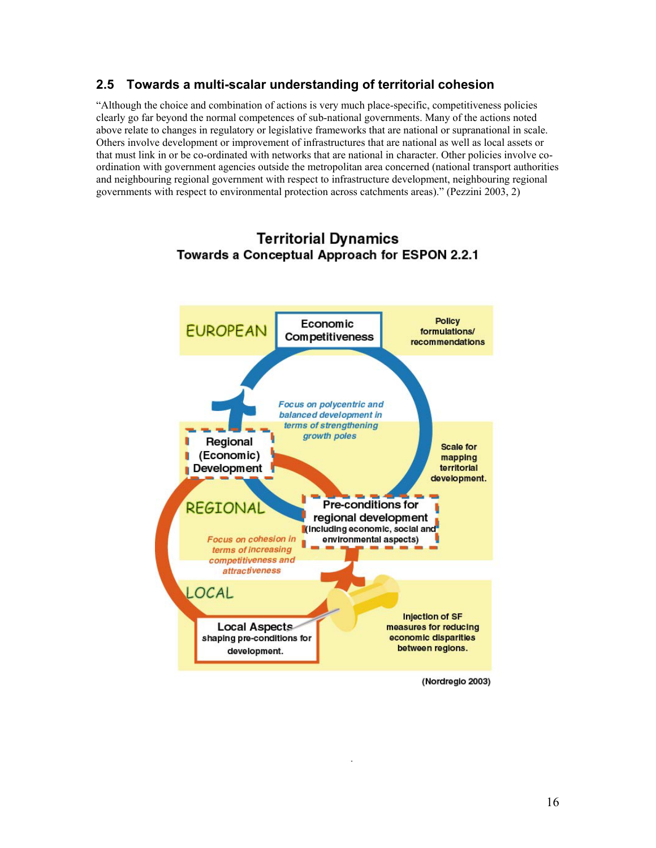## **2.5 Towards a multi-scalar understanding of territorial cohesion**

"Although the choice and combination of actions is very much place-specific, competitiveness policies clearly go far beyond the normal competences of sub-national governments. Many of the actions noted above relate to changes in regulatory or legislative frameworks that are national or supranational in scale. Others involve development or improvement of infrastructures that are national as well as local assets or that must link in or be co-ordinated with networks that are national in character. Other policies involve coordination with government agencies outside the metropolitan area concerned (national transport authorities and neighbouring regional government with respect to infrastructure development, neighbouring regional governments with respect to environmental protection across catchments areas)." (Pezzini 2003, 2)



## **Territorial Dynamics** Towards a Conceptual Approach for ESPON 2.2.1

(Nordregio 2003)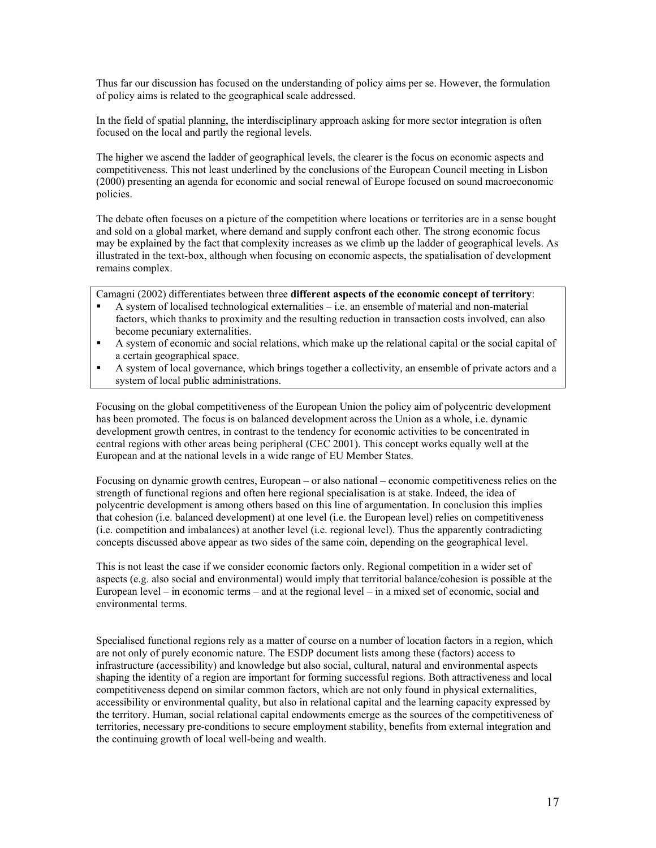Thus far our discussion has focused on the understanding of policy aims per se. However, the formulation of policy aims is related to the geographical scale addressed.

In the field of spatial planning, the interdisciplinary approach asking for more sector integration is often focused on the local and partly the regional levels.

The higher we ascend the ladder of geographical levels, the clearer is the focus on economic aspects and competitiveness. This not least underlined by the conclusions of the European Council meeting in Lisbon (2000) presenting an agenda for economic and social renewal of Europe focused on sound macroeconomic policies.

The debate often focuses on a picture of the competition where locations or territories are in a sense bought and sold on a global market, where demand and supply confront each other. The strong economic focus may be explained by the fact that complexity increases as we climb up the ladder of geographical levels. As illustrated in the text-box, although when focusing on economic aspects, the spatialisation of development remains complex.

Camagni (2002) differentiates between three **different aspects of the economic concept of territory**:

- A system of localised technological externalities i.e. an ensemble of material and non-material factors, which thanks to proximity and the resulting reduction in transaction costs involved, can also become pecuniary externalities.
- A system of economic and social relations, which make up the relational capital or the social capital of a certain geographical space.
- A system of local governance, which brings together a collectivity, an ensemble of private actors and a system of local public administrations.

Focusing on the global competitiveness of the European Union the policy aim of polycentric development has been promoted. The focus is on balanced development across the Union as a whole, i.e. dynamic development growth centres, in contrast to the tendency for economic activities to be concentrated in central regions with other areas being peripheral (CEC 2001). This concept works equally well at the European and at the national levels in a wide range of EU Member States.

Focusing on dynamic growth centres, European – or also national – economic competitiveness relies on the strength of functional regions and often here regional specialisation is at stake. Indeed, the idea of polycentric development is among others based on this line of argumentation. In conclusion this implies that cohesion (i.e. balanced development) at one level (i.e. the European level) relies on competitiveness (i.e. competition and imbalances) at another level (i.e. regional level). Thus the apparently contradicting concepts discussed above appear as two sides of the same coin, depending on the geographical level.

This is not least the case if we consider economic factors only. Regional competition in a wider set of aspects (e.g. also social and environmental) would imply that territorial balance/cohesion is possible at the European level – in economic terms – and at the regional level – in a mixed set of economic, social and environmental terms.

Specialised functional regions rely as a matter of course on a number of location factors in a region, which are not only of purely economic nature. The ESDP document lists among these (factors) access to infrastructure (accessibility) and knowledge but also social, cultural, natural and environmental aspects shaping the identity of a region are important for forming successful regions. Both attractiveness and local competitiveness depend on similar common factors, which are not only found in physical externalities, accessibility or environmental quality, but also in relational capital and the learning capacity expressed by the territory. Human, social relational capital endowments emerge as the sources of the competitiveness of territories, necessary pre-conditions to secure employment stability, benefits from external integration and the continuing growth of local well-being and wealth.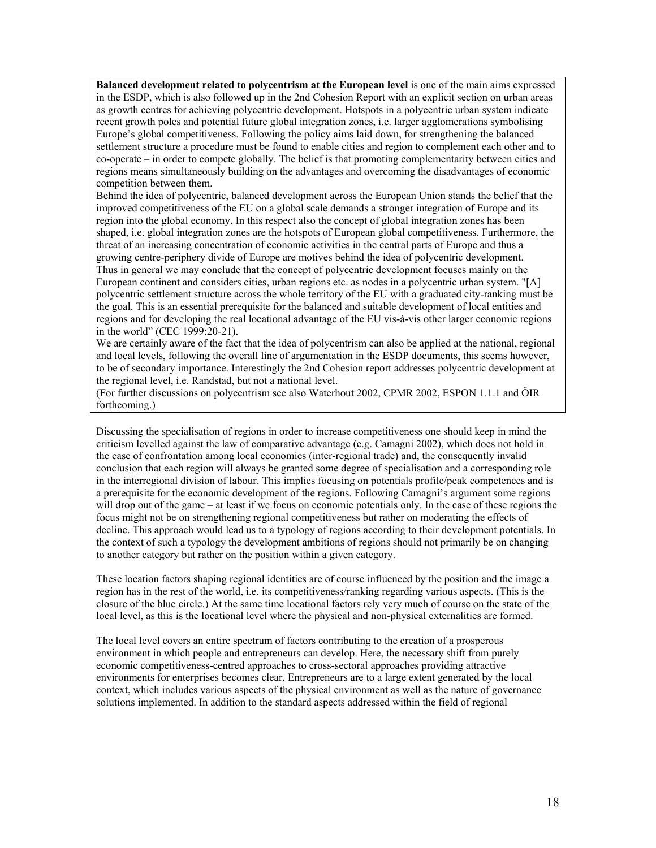**Balanced development related to polycentrism at the European level** is one of the main aims expressed in the ESDP, which is also followed up in the 2nd Cohesion Report with an explicit section on urban areas as growth centres for achieving polycentric development. Hotspots in a polycentric urban system indicate recent growth poles and potential future global integration zones, i.e. larger agglomerations symbolising Europe's global competitiveness. Following the policy aims laid down, for strengthening the balanced settlement structure a procedure must be found to enable cities and region to complement each other and to co-operate – in order to compete globally. The belief is that promoting complementarity between cities and regions means simultaneously building on the advantages and overcoming the disadvantages of economic competition between them.

Behind the idea of polycentric, balanced development across the European Union stands the belief that the improved competitiveness of the EU on a global scale demands a stronger integration of Europe and its region into the global economy. In this respect also the concept of global integration zones has been shaped, i.e. global integration zones are the hotspots of European global competitiveness. Furthermore, the threat of an increasing concentration of economic activities in the central parts of Europe and thus a growing centre-periphery divide of Europe are motives behind the idea of polycentric development. Thus in general we may conclude that the concept of polycentric development focuses mainly on the European continent and considers cities, urban regions etc. as nodes in a polycentric urban system. "[A] polycentric settlement structure across the whole territory of the EU with a graduated city-ranking must be the goal. This is an essential prerequisite for the balanced and suitable development of local entities and regions and for developing the real locational advantage of the EU vis-à-vis other larger economic regions in the world" (CEC 1999:20-21).

We are certainly aware of the fact that the idea of polycentrism can also be applied at the national, regional and local levels, following the overall line of argumentation in the ESDP documents, this seems however, to be of secondary importance. Interestingly the 2nd Cohesion report addresses polycentric development at the regional level, i.e. Randstad, but not a national level.

(For further discussions on polycentrism see also Waterhout 2002, CPMR 2002, ESPON 1.1.1 and ÖIR forthcoming.)

Discussing the specialisation of regions in order to increase competitiveness one should keep in mind the criticism levelled against the law of comparative advantage (e.g. Camagni 2002), which does not hold in the case of confrontation among local economies (inter-regional trade) and, the consequently invalid conclusion that each region will always be granted some degree of specialisation and a corresponding role in the interregional division of labour. This implies focusing on potentials profile/peak competences and is a prerequisite for the economic development of the regions. Following Camagni's argument some regions will drop out of the game – at least if we focus on economic potentials only. In the case of these regions the focus might not be on strengthening regional competitiveness but rather on moderating the effects of decline. This approach would lead us to a typology of regions according to their development potentials. In the context of such a typology the development ambitions of regions should not primarily be on changing to another category but rather on the position within a given category.

These location factors shaping regional identities are of course influenced by the position and the image a region has in the rest of the world, i.e. its competitiveness/ranking regarding various aspects. (This is the closure of the blue circle.) At the same time locational factors rely very much of course on the state of the local level, as this is the locational level where the physical and non-physical externalities are formed.

The local level covers an entire spectrum of factors contributing to the creation of a prosperous environment in which people and entrepreneurs can develop. Here, the necessary shift from purely economic competitiveness-centred approaches to cross-sectoral approaches providing attractive environments for enterprises becomes clear. Entrepreneurs are to a large extent generated by the local context, which includes various aspects of the physical environment as well as the nature of governance solutions implemented. In addition to the standard aspects addressed within the field of regional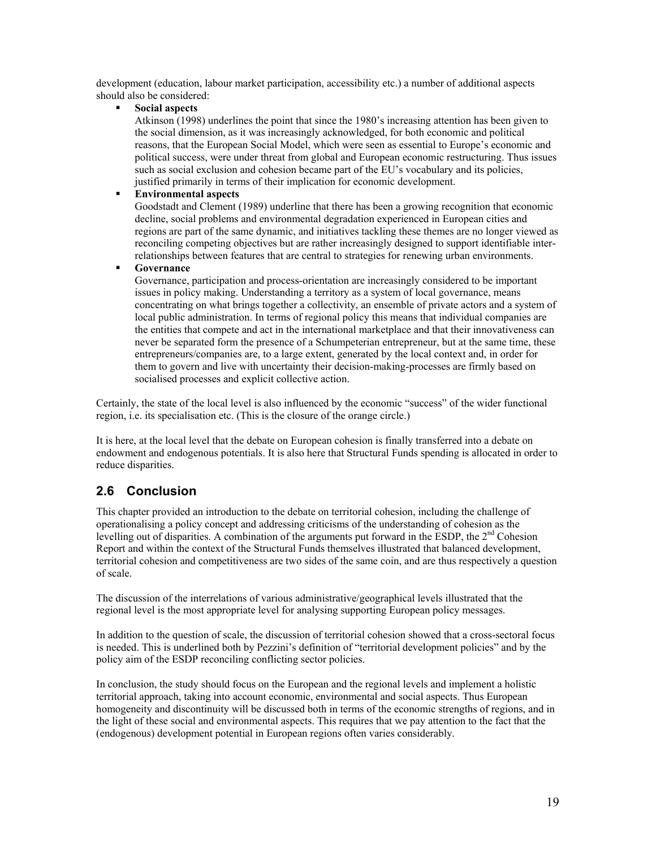development (education, labour market participation, accessibility etc.) a number of additional aspects should also be considered:

**Social aspects**

Atkinson (1998) underlines the point that since the 1980's increasing attention has been given to the social dimension, as it was increasingly acknowledged, for both economic and political reasons, that the European Social Model, which were seen as essential to Europe's economic and political success, were under threat from global and European economic restructuring. Thus issues such as social exclusion and cohesion became part of the EU's vocabulary and its policies, justified primarily in terms of their implication for economic development.

#### **Environmental aspects**

Goodstadt and Clement (1989) underline that there has been a growing recognition that economic decline, social problems and environmental degradation experienced in European cities and regions are part of the same dynamic, and initiatives tackling these themes are no longer viewed as reconciling competing objectives but are rather increasingly designed to support identifiable interrelationships between features that are central to strategies for renewing urban environments.

#### **Governance**

Governance, participation and process-orientation are increasingly considered to be important issues in policy making. Understanding a territory as a system of local governance, means concentrating on what brings together a collectivity, an ensemble of private actors and a system of local public administration. In terms of regional policy this means that individual companies are the entities that compete and act in the international marketplace and that their innovativeness can never be separated form the presence of a Schumpeterian entrepreneur, but at the same time, these entrepreneurs/companies are, to a large extent, generated by the local context and, in order for them to govern and live with uncertainty their decision-making-processes are firmly based on socialised processes and explicit collective action.

Certainly, the state of the local level is also influenced by the economic "success" of the wider functional region, i.e. its specialisation etc. (This is the closure of the orange circle.)

It is here, at the local level that the debate on European cohesion is finally transferred into a debate on endowment and endogenous potentials. It is also here that Structural Funds spending is allocated in order to reduce disparities.

## **2.6 Conclusion**

This chapter provided an introduction to the debate on territorial cohesion, including the challenge of operationalising a policy concept and addressing criticisms of the understanding of cohesion as the levelling out of disparities. A combination of the arguments put forward in the ESDP, the 2<sup>nd</sup> Cohesion Report and within the context of the Structural Funds themselves illustrated that balanced development, territorial cohesion and competitiveness are two sides of the same coin, and are thus respectively a question of scale.

The discussion of the interrelations of various administrative/geographical levels illustrated that the regional level is the most appropriate level for analysing supporting European policy messages.

In addition to the question of scale, the discussion of territorial cohesion showed that a cross-sectoral focus is needed. This is underlined both by Pezzini's definition of "territorial development policies" and by the policy aim of the ESDP reconciling conflicting sector policies.

In conclusion, the study should focus on the European and the regional levels and implement a holistic territorial approach, taking into account economic, environmental and social aspects. Thus European homogeneity and discontinuity will be discussed both in terms of the economic strengths of regions, and in the light of these social and environmental aspects. This requires that we pay attention to the fact that the (endogenous) development potential in European regions often varies considerably.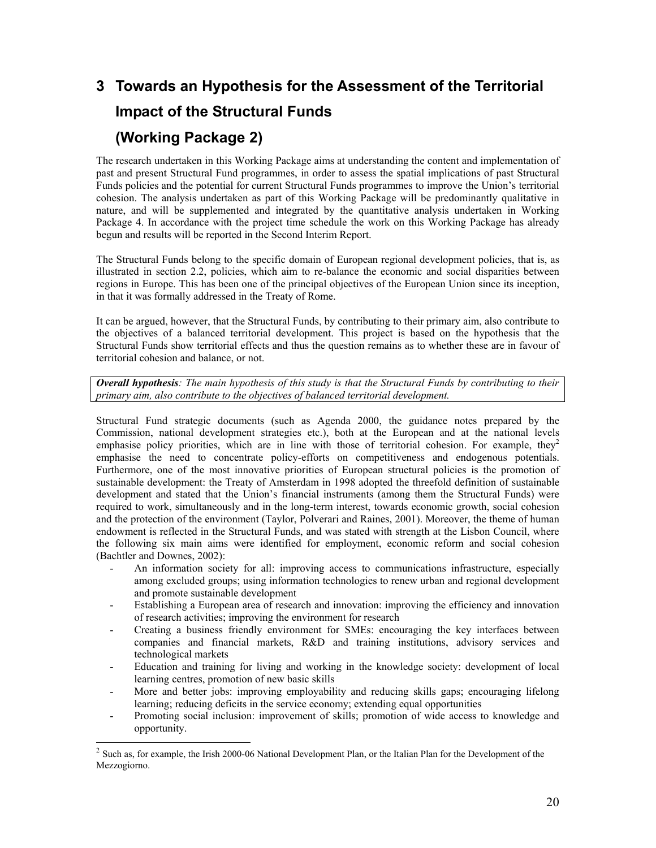# **3 Towards an Hypothesis for the Assessment of the Territorial Impact of the Structural Funds (Working Package 2)**

The research undertaken in this Working Package aims at understanding the content and implementation of past and present Structural Fund programmes, in order to assess the spatial implications of past Structural Funds policies and the potential for current Structural Funds programmes to improve the Union's territorial cohesion. The analysis undertaken as part of this Working Package will be predominantly qualitative in nature, and will be supplemented and integrated by the quantitative analysis undertaken in Working Package 4. In accordance with the project time schedule the work on this Working Package has already begun and results will be reported in the Second Interim Report.

The Structural Funds belong to the specific domain of European regional development policies, that is, as illustrated in section 2.2, policies, which aim to re-balance the economic and social disparities between regions in Europe. This has been one of the principal objectives of the European Union since its inception, in that it was formally addressed in the Treaty of Rome.

It can be argued, however, that the Structural Funds, by contributing to their primary aim, also contribute to the objectives of a balanced territorial development. This project is based on the hypothesis that the Structural Funds show territorial effects and thus the question remains as to whether these are in favour of territorial cohesion and balance, or not.

*Overall hypothesis: The main hypothesis of this study is that the Structural Funds by contributing to their primary aim, also contribute to the objectives of balanced territorial development.*

Structural Fund strategic documents (such as Agenda 2000, the guidance notes prepared by the Commission, national development strategies etc.), both at the European and at the national levels emphasise policy priorities, which are in line with those of territorial cohesion. For example, they<sup>2</sup> emphasise the need to concentrate policy-efforts on competitiveness and endogenous potentials. Furthermore, one of the most innovative priorities of European structural policies is the promotion of sustainable development: the Treaty of Amsterdam in 1998 adopted the threefold definition of sustainable development and stated that the Union's financial instruments (among them the Structural Funds) were required to work, simultaneously and in the long-term interest, towards economic growth, social cohesion and the protection of the environment (Taylor, Polverari and Raines, 2001). Moreover, the theme of human endowment is reflected in the Structural Funds, and was stated with strength at the Lisbon Council, where the following six main aims were identified for employment, economic reform and social cohesion (Bachtler and Downes, 2002):

- An information society for all: improving access to communications infrastructure, especially among excluded groups; using information technologies to renew urban and regional development and promote sustainable development
- Establishing a European area of research and innovation: improving the efficiency and innovation of research activities; improving the environment for research
- Creating a business friendly environment for SMEs: encouraging the key interfaces between companies and financial markets, R&D and training institutions, advisory services and technological markets
- Education and training for living and working in the knowledge society: development of local learning centres, promotion of new basic skills
- More and better jobs: improving employability and reducing skills gaps; encouraging lifelong learning; reducing deficits in the service economy; extending equal opportunities
- Promoting social inclusion: improvement of skills; promotion of wide access to knowledge and opportunity.

l

<sup>&</sup>lt;sup>2</sup> Such as, for example, the Irish 2000-06 National Development Plan, or the Italian Plan for the Development of the Mezzogiorno.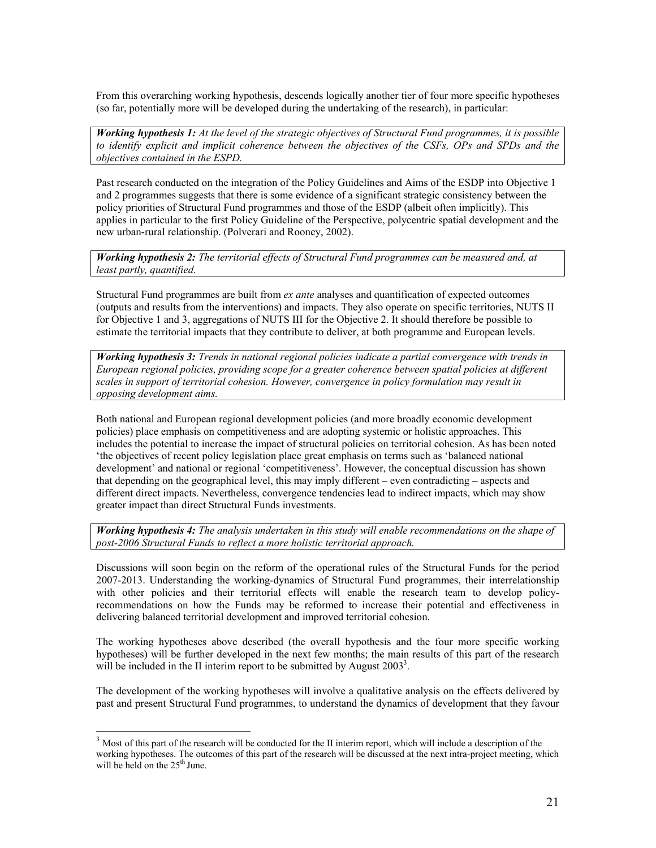From this overarching working hypothesis, descends logically another tier of four more specific hypotheses (so far, potentially more will be developed during the undertaking of the research), in particular:

*Working hypothesis 1: At the level of the strategic objectives of Structural Fund programmes, it is possible to identify explicit and implicit coherence between the objectives of the CSFs, OPs and SPDs and the objectives contained in the ESPD.*

Past research conducted on the integration of the Policy Guidelines and Aims of the ESDP into Objective 1 and 2 programmes suggests that there is some evidence of a significant strategic consistency between the policy priorities of Structural Fund programmes and those of the ESDP (albeit often implicitly). This applies in particular to the first Policy Guideline of the Perspective, polycentric spatial development and the new urban-rural relationship. (Polverari and Rooney, 2002).

*Working hypothesis 2: The territorial effects of Structural Fund programmes can be measured and, at least partly, quantified.*

Structural Fund programmes are built from *ex ante* analyses and quantification of expected outcomes (outputs and results from the interventions) and impacts. They also operate on specific territories, NUTS II for Objective 1 and 3, aggregations of NUTS III for the Objective 2. It should therefore be possible to estimate the territorial impacts that they contribute to deliver, at both programme and European levels.

*Working hypothesis 3: Trends in national regional policies indicate a partial convergence with trends in European regional policies, providing scope for a greater coherence between spatial policies at different scales in support of territorial cohesion. However, convergence in policy formulation may result in opposing development aims.* 

Both national and European regional development policies (and more broadly economic development policies) place emphasis on competitiveness and are adopting systemic or holistic approaches. This includes the potential to increase the impact of structural policies on territorial cohesion. As has been noted 'the objectives of recent policy legislation place great emphasis on terms such as 'balanced national development' and national or regional 'competitiveness'. However, the conceptual discussion has shown that depending on the geographical level, this may imply different – even contradicting – aspects and different direct impacts. Nevertheless, convergence tendencies lead to indirect impacts, which may show greater impact than direct Structural Funds investments.

*Working hypothesis 4: The analysis undertaken in this study will enable recommendations on the shape of post-2006 Structural Funds to reflect a more holistic territorial approach.*

Discussions will soon begin on the reform of the operational rules of the Structural Funds for the period 2007-2013. Understanding the working-dynamics of Structural Fund programmes, their interrelationship with other policies and their territorial effects will enable the research team to develop policyrecommendations on how the Funds may be reformed to increase their potential and effectiveness in delivering balanced territorial development and improved territorial cohesion.

The working hypotheses above described (the overall hypothesis and the four more specific working hypotheses) will be further developed in the next few months; the main results of this part of the research will be included in the II interim report to be submitted by August  $2003<sup>3</sup>$ .

The development of the working hypotheses will involve a qualitative analysis on the effects delivered by past and present Structural Fund programmes, to understand the dynamics of development that they favour

l

 $3$  Most of this part of the research will be conducted for the II interim report, which will include a description of the working hypotheses. The outcomes of this part of the research will be discussed at the next intra-project meeting, which will be held on the  $25<sup>th</sup>$  June.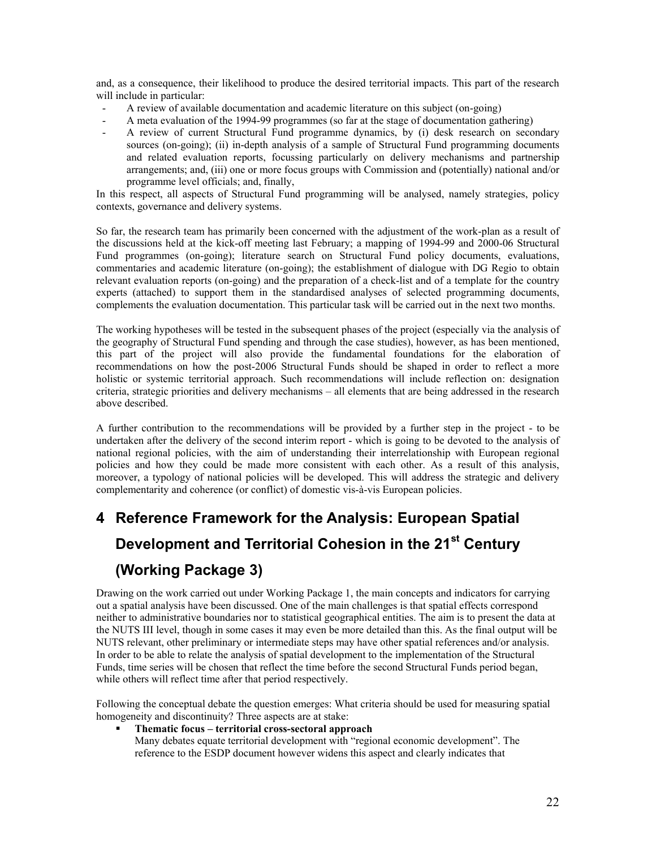and, as a consequence, their likelihood to produce the desired territorial impacts. This part of the research will include in particular:

- A review of available documentation and academic literature on this subject (on-going)
- A meta evaluation of the 1994-99 programmes (so far at the stage of documentation gathering)
- A review of current Structural Fund programme dynamics, by (i) desk research on secondary sources (on-going); (ii) in-depth analysis of a sample of Structural Fund programming documents and related evaluation reports, focussing particularly on delivery mechanisms and partnership arrangements; and, (iii) one or more focus groups with Commission and (potentially) national and/or programme level officials; and, finally,

In this respect, all aspects of Structural Fund programming will be analysed, namely strategies, policy contexts, governance and delivery systems.

So far, the research team has primarily been concerned with the adjustment of the work-plan as a result of the discussions held at the kick-off meeting last February; a mapping of 1994-99 and 2000-06 Structural Fund programmes (on-going); literature search on Structural Fund policy documents, evaluations, commentaries and academic literature (on-going); the establishment of dialogue with DG Regio to obtain relevant evaluation reports (on-going) and the preparation of a check-list and of a template for the country experts (attached) to support them in the standardised analyses of selected programming documents, complements the evaluation documentation. This particular task will be carried out in the next two months.

The working hypotheses will be tested in the subsequent phases of the project (especially via the analysis of the geography of Structural Fund spending and through the case studies), however, as has been mentioned, this part of the project will also provide the fundamental foundations for the elaboration of recommendations on how the post-2006 Structural Funds should be shaped in order to reflect a more holistic or systemic territorial approach. Such recommendations will include reflection on: designation criteria, strategic priorities and delivery mechanisms – all elements that are being addressed in the research above described.

A further contribution to the recommendations will be provided by a further step in the project - to be undertaken after the delivery of the second interim report - which is going to be devoted to the analysis of national regional policies, with the aim of understanding their interrelationship with European regional policies and how they could be made more consistent with each other. As a result of this analysis, moreover, a typology of national policies will be developed. This will address the strategic and delivery complementarity and coherence (or conflict) of domestic vis-à-vis European policies.

# **4 Reference Framework for the Analysis: European Spatial Development and Territorial Cohesion in the 21st Century (Working Package 3)**

Drawing on the work carried out under Working Package 1, the main concepts and indicators for carrying out a spatial analysis have been discussed. One of the main challenges is that spatial effects correspond neither to administrative boundaries nor to statistical geographical entities. The aim is to present the data at the NUTS III level, though in some cases it may even be more detailed than this. As the final output will be NUTS relevant, other preliminary or intermediate steps may have other spatial references and/or analysis. In order to be able to relate the analysis of spatial development to the implementation of the Structural Funds, time series will be chosen that reflect the time before the second Structural Funds period began, while others will reflect time after that period respectively.

Following the conceptual debate the question emerges: What criteria should be used for measuring spatial homogeneity and discontinuity? Three aspects are at stake:

#### **Thematic focus – territorial cross-sectoral approach**

Many debates equate territorial development with "regional economic development". The reference to the ESDP document however widens this aspect and clearly indicates that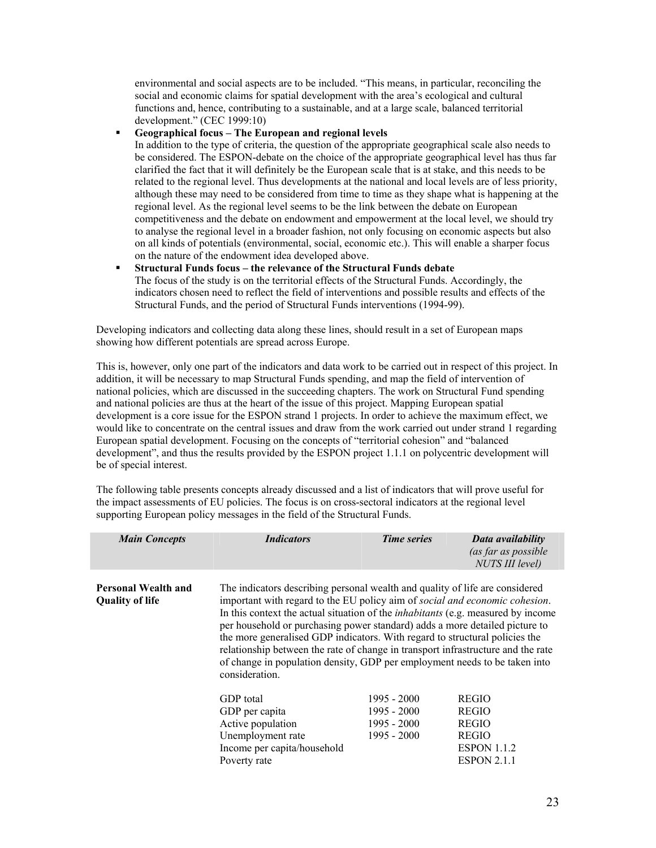environmental and social aspects are to be included. "This means, in particular, reconciling the social and economic claims for spatial development with the area's ecological and cultural functions and, hence, contributing to a sustainable, and at a large scale, balanced territorial development." (CEC 1999:10)

#### **Geographical focus – The European and regional levels**

In addition to the type of criteria, the question of the appropriate geographical scale also needs to be considered. The ESPON-debate on the choice of the appropriate geographical level has thus far clarified the fact that it will definitely be the European scale that is at stake, and this needs to be related to the regional level. Thus developments at the national and local levels are of less priority, although these may need to be considered from time to time as they shape what is happening at the regional level. As the regional level seems to be the link between the debate on European competitiveness and the debate on endowment and empowerment at the local level, we should try to analyse the regional level in a broader fashion, not only focusing on economic aspects but also on all kinds of potentials (environmental, social, economic etc.). This will enable a sharper focus on the nature of the endowment idea developed above.

 **Structural Funds focus – the relevance of the Structural Funds debate**  The focus of the study is on the territorial effects of the Structural Funds. Accordingly, the indicators chosen need to reflect the field of interventions and possible results and effects of the Structural Funds, and the period of Structural Funds interventions (1994-99).

Developing indicators and collecting data along these lines, should result in a set of European maps showing how different potentials are spread across Europe.

This is, however, only one part of the indicators and data work to be carried out in respect of this project. In addition, it will be necessary to map Structural Funds spending, and map the field of intervention of national policies, which are discussed in the succeeding chapters. The work on Structural Fund spending and national policies are thus at the heart of the issue of this project. Mapping European spatial development is a core issue for the ESPON strand 1 projects. In order to achieve the maximum effect, we would like to concentrate on the central issues and draw from the work carried out under strand 1 regarding European spatial development. Focusing on the concepts of "territorial cohesion" and "balanced development", and thus the results provided by the ESPON project 1.1.1 on polycentric development will be of special interest.

The following table presents concepts already discussed and a list of indicators that will prove useful for the impact assessments of EU policies. The focus is on cross-sectoral indicators at the regional level supporting European policy messages in the field of the Structural Funds.

| <b>Main Concepts</b>                                 | <b>Indicators</b>                                                                                                                                                                                                                                                                                                                                                                                                                                                                                                                                                                                        | <b>Time series</b>                                                                                       | Data availability<br>(as far as possible |
|------------------------------------------------------|----------------------------------------------------------------------------------------------------------------------------------------------------------------------------------------------------------------------------------------------------------------------------------------------------------------------------------------------------------------------------------------------------------------------------------------------------------------------------------------------------------------------------------------------------------------------------------------------------------|----------------------------------------------------------------------------------------------------------|------------------------------------------|
|                                                      |                                                                                                                                                                                                                                                                                                                                                                                                                                                                                                                                                                                                          |                                                                                                          | NUTS III level)                          |
| <b>Personal Wealth and</b><br><b>Quality of life</b> | The indicators describing personal wealth and quality of life are considered<br>important with regard to the EU policy aim of social and economic cohesion.<br>In this context the actual situation of the <i>inhabitants</i> (e.g. measured by income<br>per household or purchasing power standard) adds a more detailed picture to<br>the more generalised GDP indicators. With regard to structural policies the<br>relationship between the rate of change in transport infrastructure and the rate<br>of change in population density, GDP per employment needs to be taken into<br>consideration. |                                                                                                          |                                          |
|                                                      | GDP total<br>GDP per capita<br>Active population<br>Unemployment rate<br>Income per capita/household<br>Poverty rate                                                                                                                                                                                                                                                                                                                                                                                                                                                                                     | <b>REGIO</b><br><b>REGIO</b><br><b>REGIO</b><br><b>REGIO</b><br><b>ESPON 1.1.2</b><br><b>ESPON 2.1.1</b> |                                          |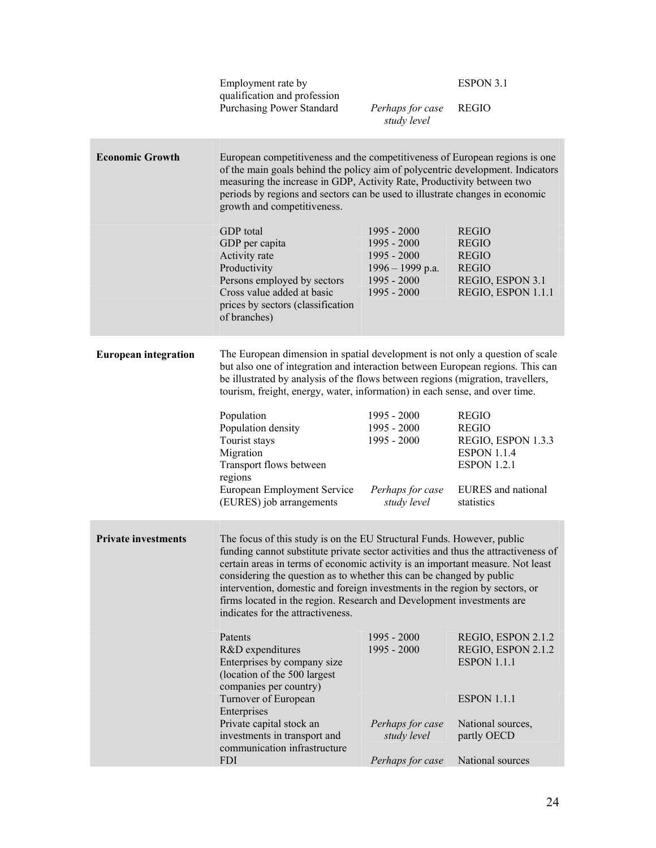### ESPON 3.1

 Employment rate by qualification and profession Purchasing Power Standard *Perhaps for case* 

*study level*  REGIO

| <b>Economic Growth</b>      | European competitiveness and the competitiveness of European regions is one<br>of the main goals behind the policy aim of polycentric development. Indicators<br>measuring the increase in GDP, Activity Rate, Productivity between two<br>periods by regions and sectors can be used to illustrate changes in economic<br>growth and competitiveness.<br><b>GDP</b> total<br>GDP per capita<br>Activity rate<br>Productivity<br>Persons employed by sectors<br>Cross value added at basic<br>prices by sectors (classification<br>of branches)                                                                                                                     | 1995 - 2000<br>$1995 - 2000$<br>1995 - 2000<br>$1996 - 1999$ p.a.<br>$1995 - 2000$<br>1995 - 2000 | <b>REGIO</b><br><b>REGIO</b><br><b>REGIO</b><br><b>REGIO</b><br>REGIO, ESPON 3.1<br>REGIO, ESPON 1.1.1                             |
|-----------------------------|---------------------------------------------------------------------------------------------------------------------------------------------------------------------------------------------------------------------------------------------------------------------------------------------------------------------------------------------------------------------------------------------------------------------------------------------------------------------------------------------------------------------------------------------------------------------------------------------------------------------------------------------------------------------|---------------------------------------------------------------------------------------------------|------------------------------------------------------------------------------------------------------------------------------------|
| <b>European integration</b> | The European dimension in spatial development is not only a question of scale<br>but also one of integration and interaction between European regions. This can<br>be illustrated by analysis of the flows between regions (migration, travellers,<br>tourism, freight, energy, water, information) in each sense, and over time.<br>Population<br>Population density<br>Tourist stays<br>Migration<br>Transport flows between<br>regions<br>European Employment Service<br>(EURES) job arrangements                                                                                                                                                                | $1995 - 2000$<br>$1995 - 2000$<br>1995 - 2000<br>Perhaps for case<br>study level                  | <b>REGIO</b><br><b>REGIO</b><br>REGIO, ESPON 1.3.3<br><b>ESPON 1.1.4</b><br><b>ESPON 1.2.1</b><br>EURES and national<br>statistics |
| <b>Private investments</b>  | The focus of this study is on the EU Structural Funds. However, public<br>funding cannot substitute private sector activities and thus the attractiveness of<br>certain areas in terms of economic activity is an important measure. Not least<br>considering the question as to whether this can be changed by public<br>intervention, domestic and foreign investments in the region by sectors, or<br>firms located in the region. Research and Development investments are<br>indicates for the attractiveness.<br>Patents<br>R&D expenditures<br>Enterprises by company size<br>(location of the 500 largest<br>companies per country)<br>Turnover of European | 1995 - 2000<br>1995 - 2000                                                                        | REGIO, ESPON 2.1.2<br>REGIO, ESPON 2.1.2<br><b>ESPON 1.1.1</b><br><b>ESPON 1.1.1</b>                                               |
|                             | Enterprises<br>Private capital stock an<br>investments in transport and<br>communication infrastructure<br><b>FDI</b>                                                                                                                                                                                                                                                                                                                                                                                                                                                                                                                                               | Perhaps for case<br>study level<br>Perhaps for case                                               | National sources,<br>partly OECD<br>National sources                                                                               |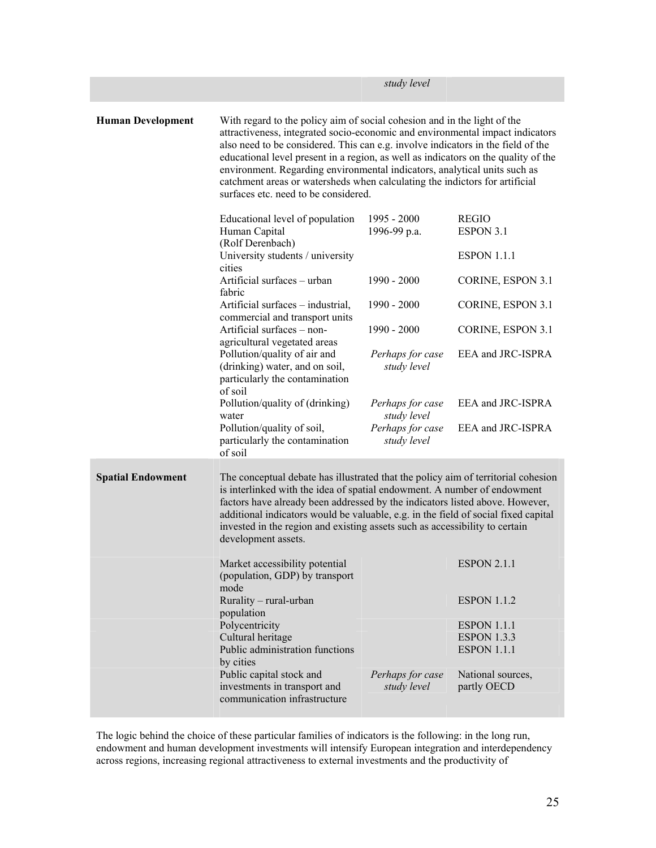|                          | study level                                                                                                                                                                                                                                                                                                                                                                                                                                                                                                                             |                                 |                                          |  |  |  |  |  |  |  |  |
|--------------------------|-----------------------------------------------------------------------------------------------------------------------------------------------------------------------------------------------------------------------------------------------------------------------------------------------------------------------------------------------------------------------------------------------------------------------------------------------------------------------------------------------------------------------------------------|---------------------------------|------------------------------------------|--|--|--|--|--|--|--|--|
| <b>Human Development</b> | With regard to the policy aim of social cohesion and in the light of the<br>attractiveness, integrated socio-economic and environmental impact indicators<br>also need to be considered. This can e.g. involve indicators in the field of the<br>educational level present in a region, as well as indicators on the quality of the<br>environment. Regarding environmental indicators, analytical units such as<br>catchment areas or watersheds when calculating the indictors for artificial<br>surfaces etc. need to be considered. |                                 |                                          |  |  |  |  |  |  |  |  |
|                          | Educational level of population<br>Human Capital<br>(Rolf Derenbach)                                                                                                                                                                                                                                                                                                                                                                                                                                                                    | $1995 - 2000$<br>1996-99 p.a.   | <b>REGIO</b><br>ESPON 3.1                |  |  |  |  |  |  |  |  |
|                          | University students / university<br>cities                                                                                                                                                                                                                                                                                                                                                                                                                                                                                              |                                 | <b>ESPON 1.1.1</b>                       |  |  |  |  |  |  |  |  |
|                          | Artificial surfaces - urban<br>fabric                                                                                                                                                                                                                                                                                                                                                                                                                                                                                                   | $1990 - 2000$                   | CORINE, ESPON 3.1                        |  |  |  |  |  |  |  |  |
|                          | Artificial surfaces – industrial,<br>commercial and transport units                                                                                                                                                                                                                                                                                                                                                                                                                                                                     | $1990 - 2000$                   | CORINE, ESPON 3.1                        |  |  |  |  |  |  |  |  |
|                          | Artificial surfaces - non-<br>agricultural vegetated areas                                                                                                                                                                                                                                                                                                                                                                                                                                                                              | $1990 - 2000$                   | CORINE, ESPON 3.1                        |  |  |  |  |  |  |  |  |
|                          | Pollution/quality of air and<br>(drinking) water, and on soil,<br>particularly the contamination<br>of soil                                                                                                                                                                                                                                                                                                                                                                                                                             | Perhaps for case<br>study level | EEA and JRC-ISPRA                        |  |  |  |  |  |  |  |  |
|                          | Pollution/quality of (drinking)<br>water                                                                                                                                                                                                                                                                                                                                                                                                                                                                                                | Perhaps for case<br>study level | EEA and JRC-ISPRA                        |  |  |  |  |  |  |  |  |
|                          | Pollution/quality of soil,<br>particularly the contamination<br>of soil                                                                                                                                                                                                                                                                                                                                                                                                                                                                 | Perhaps for case<br>study level | EEA and JRC-ISPRA                        |  |  |  |  |  |  |  |  |
| <b>Spatial Endowment</b> | The conceptual debate has illustrated that the policy aim of territorial cohesion<br>is interlinked with the idea of spatial endowment. A number of endowment<br>factors have already been addressed by the indicators listed above. However,<br>additional indicators would be valuable, e.g. in the field of social fixed capital<br>invested in the region and existing assets such as accessibility to certain<br>development assets.                                                                                               |                                 |                                          |  |  |  |  |  |  |  |  |
|                          | Market accessibility potential<br>(population, GDP) by transport<br>mode                                                                                                                                                                                                                                                                                                                                                                                                                                                                |                                 | <b>ESPON 2.1.1</b>                       |  |  |  |  |  |  |  |  |
|                          | Rurality - rural-urban<br>population                                                                                                                                                                                                                                                                                                                                                                                                                                                                                                    |                                 | <b>ESPON 1.1.2</b>                       |  |  |  |  |  |  |  |  |
|                          | Polycentricity<br>Cultural heritage                                                                                                                                                                                                                                                                                                                                                                                                                                                                                                     |                                 | <b>ESPON 1.1.1</b><br><b>ESPON 1.3.3</b> |  |  |  |  |  |  |  |  |
|                          | Public administration functions                                                                                                                                                                                                                                                                                                                                                                                                                                                                                                         |                                 | <b>ESPON 1.1.1</b>                       |  |  |  |  |  |  |  |  |
|                          | by cities<br>Public capital stock and                                                                                                                                                                                                                                                                                                                                                                                                                                                                                                   | Perhaps for case                | National sources,                        |  |  |  |  |  |  |  |  |
|                          | investments in transport and                                                                                                                                                                                                                                                                                                                                                                                                                                                                                                            | study level                     | partly OECD                              |  |  |  |  |  |  |  |  |
|                          | communication infrastructure                                                                                                                                                                                                                                                                                                                                                                                                                                                                                                            |                                 |                                          |  |  |  |  |  |  |  |  |

The logic behind the choice of these particular families of indicators is the following: in the long run, endowment and human development investments will intensify European integration and interdependency across regions, increasing regional attractiveness to external investments and the productivity of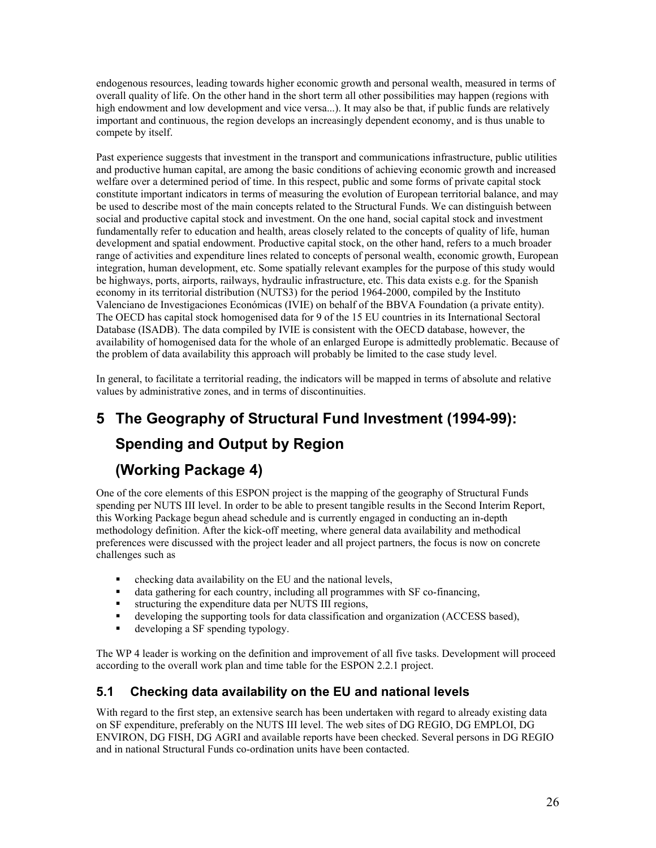endogenous resources, leading towards higher economic growth and personal wealth, measured in terms of overall quality of life. On the other hand in the short term all other possibilities may happen (regions with high endowment and low development and vice versa...). It may also be that, if public funds are relatively important and continuous, the region develops an increasingly dependent economy, and is thus unable to compete by itself.

Past experience suggests that investment in the transport and communications infrastructure, public utilities and productive human capital, are among the basic conditions of achieving economic growth and increased welfare over a determined period of time. In this respect, public and some forms of private capital stock constitute important indicators in terms of measuring the evolution of European territorial balance, and may be used to describe most of the main concepts related to the Structural Funds. We can distinguish between social and productive capital stock and investment. On the one hand, social capital stock and investment fundamentally refer to education and health, areas closely related to the concepts of quality of life, human development and spatial endowment. Productive capital stock, on the other hand, refers to a much broader range of activities and expenditure lines related to concepts of personal wealth, economic growth, European integration, human development, etc. Some spatially relevant examples for the purpose of this study would be highways, ports, airports, railways, hydraulic infrastructure, etc. This data exists e.g. for the Spanish economy in its territorial distribution (NUTS3) for the period 1964-2000, compiled by the Instituto Valenciano de Investigaciones Económicas (IVIE) on behalf of the BBVA Foundation (a private entity). The OECD has capital stock homogenised data for 9 of the 15 EU countries in its International Sectoral Database (ISADB). The data compiled by IVIE is consistent with the OECD database, however, the availability of homogenised data for the whole of an enlarged Europe is admittedly problematic. Because of the problem of data availability this approach will probably be limited to the case study level.

In general, to facilitate a territorial reading, the indicators will be mapped in terms of absolute and relative values by administrative zones, and in terms of discontinuities.

# **5 The Geography of Structural Fund Investment (1994-99):**

# **Spending and Output by Region**

## **(Working Package 4)**

One of the core elements of this ESPON project is the mapping of the geography of Structural Funds spending per NUTS III level. In order to be able to present tangible results in the Second Interim Report, this Working Package begun ahead schedule and is currently engaged in conducting an in-depth methodology definition. After the kick-off meeting, where general data availability and methodical preferences were discussed with the project leader and all project partners, the focus is now on concrete challenges such as

- $\blacksquare$  checking data availability on the EU and the national levels.
- data gathering for each country, including all programmes with SF co-financing,
- structuring the expenditure data per NUTS III regions,
- developing the supporting tools for data classification and organization (ACCESS based),
- developing a SF spending typology.

The WP 4 leader is working on the definition and improvement of all five tasks. Development will proceed according to the overall work plan and time table for the ESPON 2.2.1 project.

## **5.1 Checking data availability on the EU and national levels**

With regard to the first step, an extensive search has been undertaken with regard to already existing data on SF expenditure, preferably on the NUTS III level. The web sites of DG REGIO, DG EMPLOI, DG ENVIRON, DG FISH, DG AGRI and available reports have been checked. Several persons in DG REGIO and in national Structural Funds co-ordination units have been contacted.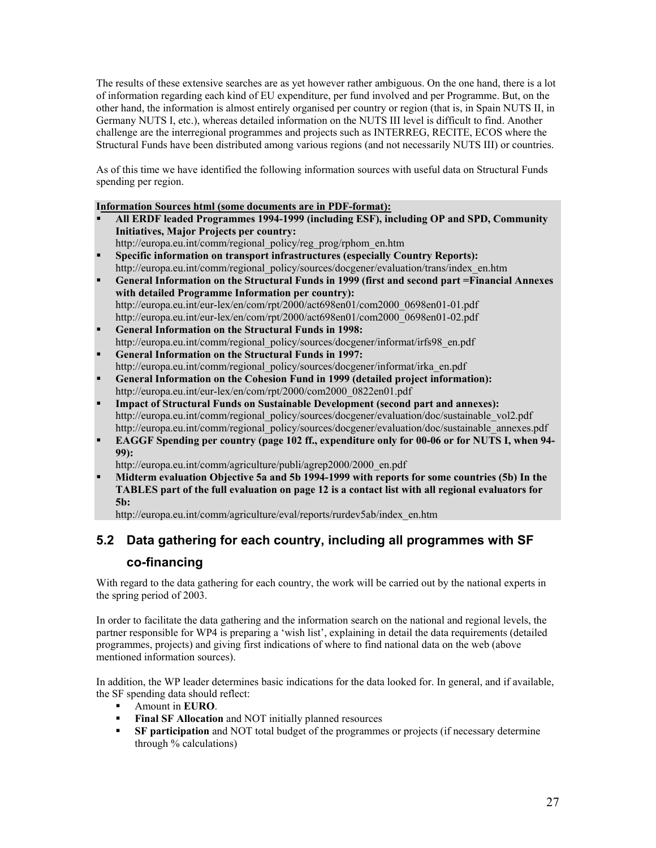The results of these extensive searches are as yet however rather ambiguous. On the one hand, there is a lot of information regarding each kind of EU expenditure, per fund involved and per Programme. But, on the other hand, the information is almost entirely organised per country or region (that is, in Spain NUTS II, in Germany NUTS I, etc.), whereas detailed information on the NUTS III level is difficult to find. Another challenge are the interregional programmes and projects such as INTERREG, RECITE, ECOS where the Structural Funds have been distributed among various regions (and not necessarily NUTS III) or countries.

As of this time we have identified the following information sources with useful data on Structural Funds spending per region.

#### **Information Sources html (some documents are in PDF-format):**

- **All ERDF leaded Programmes 1994-1999 (including ESF), including OP and SPD, Community Initiatives, Major Projects per country:**
- http://europa.eu.int/comm/regional\_policy/reg\_prog/rphom\_en.htm **Specific information on transport infrastructures (especially Country Reports):**
- http://europa.eu.int/comm/regional\_policy/sources/docgener/evaluation/trans/index\_en.htm
- **General Information on the Structural Funds in 1999 (first and second part =Financial Annexes with detailed Programme Information per country):**  http://europa.eu.int/eur-lex/en/com/rpt/2000/act698en01/com2000\_0698en01-01.pdf http://europa.eu.int/eur-lex/en/com/rpt/2000/act698en01/com2000\_0698en01-02.pdf
- **General Information on the Structural Funds in 1998:**  http://europa.eu.int/comm/regional\_policy/sources/docgener/informat/irfs98\_en.pdf
- **General Information on the Structural Funds in 1997:**  http://europa.eu.int/comm/regional\_policy/sources/docgener/informat/irka\_en.pdf
- **General Information on the Cohesion Fund in 1999 (detailed project information):**  http://europa.eu.int/eur-lex/en/com/rpt/2000/com2000\_0822en01.pdf
- **Impact of Structural Funds on Sustainable Development (second part and annexes):**  http://europa.eu.int/comm/regional\_policy/sources/docgener/evaluation/doc/sustainable\_vol2.pdf http://europa.eu.int/comm/regional\_policy/sources/docgener/evaluation/doc/sustainable\_annexes.pdf
- **EAGGF Spending per country (page 102 ff., expenditure only for 00-06 or for NUTS I, when 94- 99):**

http://europa.eu.int/comm/agriculture/publi/agrep2000/2000\_en.pdf

 **Midterm evaluation Objective 5a and 5b 1994-1999 with reports for some countries (5b) In the TABLES part of the full evaluation on page 12 is a contact list with all regional evaluators for 5b:** 

http://europa.eu.int/comm/agriculture/eval/reports/rurdev5ab/index\_en.htm

## **5.2 Data gathering for each country, including all programmes with SF**

### **co-financing**

With regard to the data gathering for each country, the work will be carried out by the national experts in the spring period of 2003.

In order to facilitate the data gathering and the information search on the national and regional levels, the partner responsible for WP4 is preparing a 'wish list', explaining in detail the data requirements (detailed programmes, projects) and giving first indications of where to find national data on the web (above mentioned information sources).

In addition, the WP leader determines basic indications for the data looked for. In general, and if available, the SF spending data should reflect:

- Amount in **EURO**.
- **Final SF Allocation** and NOT initially planned resources
- **SF participation** and NOT total budget of the programmes or projects (if necessary determine through % calculations)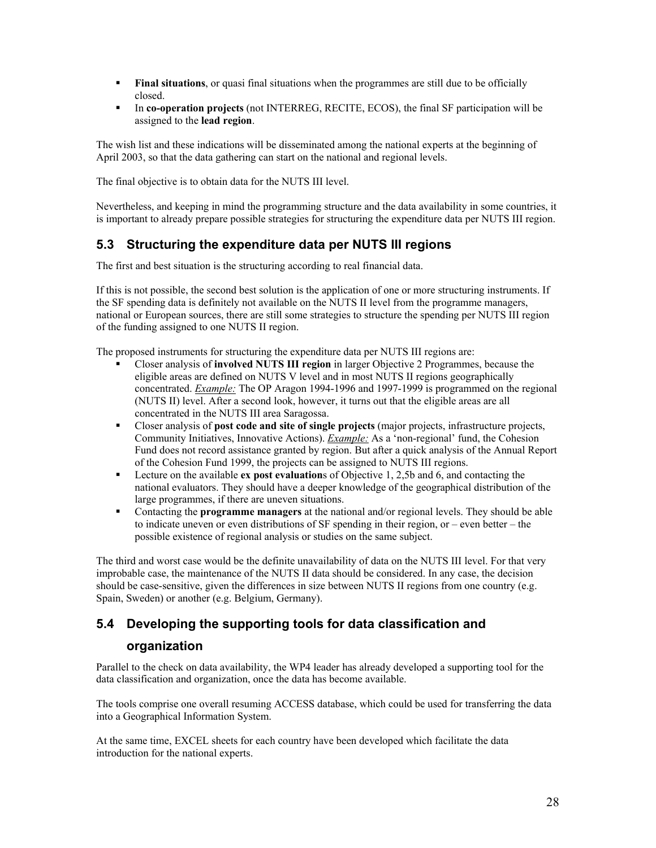- **Final situations**, or quasi final situations when the programmes are still due to be officially closed.
- In **co-operation projects** (not INTERREG, RECITE, ECOS), the final SF participation will be assigned to the **lead region**.

The wish list and these indications will be disseminated among the national experts at the beginning of April 2003, so that the data gathering can start on the national and regional levels.

The final objective is to obtain data for the NUTS III level.

Nevertheless, and keeping in mind the programming structure and the data availability in some countries, it is important to already prepare possible strategies for structuring the expenditure data per NUTS III region.

## **5.3 Structuring the expenditure data per NUTS III regions**

The first and best situation is the structuring according to real financial data.

If this is not possible, the second best solution is the application of one or more structuring instruments. If the SF spending data is definitely not available on the NUTS II level from the programme managers, national or European sources, there are still some strategies to structure the spending per NUTS III region of the funding assigned to one NUTS II region.

The proposed instruments for structuring the expenditure data per NUTS III regions are:

- Closer analysis of **involved NUTS III region** in larger Objective 2 Programmes, because the eligible areas are defined on NUTS V level and in most NUTS II regions geographically concentrated. *Example:* The OP Aragon 1994-1996 and 1997-1999 is programmed on the regional (NUTS II) level. After a second look, however, it turns out that the eligible areas are all concentrated in the NUTS III area Saragossa.
- Closer analysis of **post code and site of single projects** (major projects, infrastructure projects, Community Initiatives, Innovative Actions). *Example:* As a 'non-regional' fund, the Cohesion Fund does not record assistance granted by region. But after a quick analysis of the Annual Report of the Cohesion Fund 1999, the projects can be assigned to NUTS III regions.
- Lecture on the available **ex post evaluation**s of Objective 1, 2,5b and 6, and contacting the national evaluators. They should have a deeper knowledge of the geographical distribution of the large programmes, if there are uneven situations.
- Contacting the **programme managers** at the national and/or regional levels. They should be able to indicate uneven or even distributions of SF spending in their region, or – even better – the possible existence of regional analysis or studies on the same subject.

The third and worst case would be the definite unavailability of data on the NUTS III level. For that very improbable case, the maintenance of the NUTS II data should be considered. In any case, the decision should be case-sensitive, given the differences in size between NUTS II regions from one country (e.g. Spain, Sweden) or another (e.g. Belgium, Germany).

# **5.4 Developing the supporting tools for data classification and**

#### **organization**

Parallel to the check on data availability, the WP4 leader has already developed a supporting tool for the data classification and organization, once the data has become available.

The tools comprise one overall resuming ACCESS database, which could be used for transferring the data into a Geographical Information System.

At the same time, EXCEL sheets for each country have been developed which facilitate the data introduction for the national experts.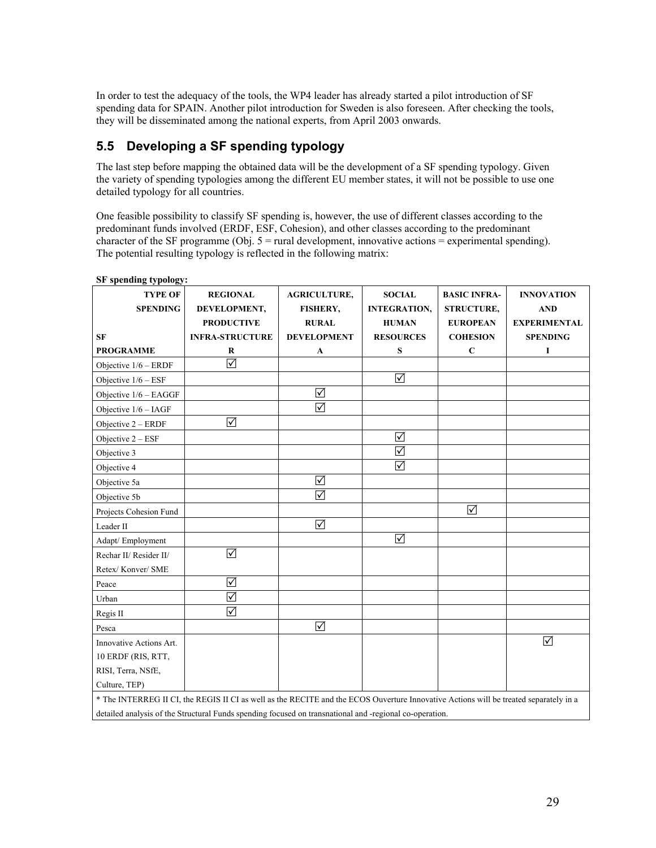In order to test the adequacy of the tools, the WP4 leader has already started a pilot introduction of SF spending data for SPAIN. Another pilot introduction for Sweden is also foreseen. After checking the tools, they will be disseminated among the national experts, from April 2003 onwards.

## **5.5 Developing a SF spending typology**

The last step before mapping the obtained data will be the development of a SF spending typology. Given the variety of spending typologies among the different EU member states, it will not be possible to use one detailed typology for all countries.

One feasible possibility to classify SF spending is, however, the use of different classes according to the predominant funds involved (ERDF, ESF, Cohesion), and other classes according to the predominant character of the SF programme (Obj.  $5 =$  rural development, innovative actions  $=$  experimental spending). The potential resulting typology is reflected in the following matrix:

| <b>TYPE OF</b>          | <b>REGIONAL</b>                                                                                                                       | <b>AGRICULTURE,</b> | <b>SOCIAL</b>        | <b>BASIC INFRA-</b> | <b>INNOVATION</b>   |
|-------------------------|---------------------------------------------------------------------------------------------------------------------------------------|---------------------|----------------------|---------------------|---------------------|
| <b>SPENDING</b>         | DEVELOPMENT,                                                                                                                          | <b>FISHERY,</b>     | <b>INTEGRATION,</b>  | <b>STRUCTURE,</b>   | <b>AND</b>          |
|                         | <b>PRODUCTIVE</b>                                                                                                                     | <b>RURAL</b>        | <b>HUMAN</b>         | <b>EUROPEAN</b>     | <b>EXPERIMENTAL</b> |
| <b>SF</b>               | <b>INFRA-STRUCTURE</b>                                                                                                                | <b>DEVELOPMENT</b>  | <b>RESOURCES</b>     | <b>COHESION</b>     | <b>SPENDING</b>     |
| <b>PROGRAMME</b>        | R                                                                                                                                     | A                   | S                    | $\mathbf C$         | I                   |
| Objective 1/6 - ERDF    | $\blacktriangledown$                                                                                                                  |                     |                      |                     |                     |
| Objective $1/6 - ESF$   |                                                                                                                                       |                     | $\triangledown$      |                     |                     |
| Objective $1/6 - EAGGF$ |                                                                                                                                       | ☑                   |                      |                     |                     |
| Objective $1/6 - IAGF$  |                                                                                                                                       | ☑                   |                      |                     |                     |
| Objective $2 - ERDF$    | $\triangledown$                                                                                                                       |                     |                      |                     |                     |
| Objective $2 - ESF$     |                                                                                                                                       |                     | $\sqrt{}$            |                     |                     |
| Objective 3             |                                                                                                                                       |                     | ☑                    |                     |                     |
| Objective 4             |                                                                                                                                       |                     | $\blacktriangledown$ |                     |                     |
| Objective 5a            |                                                                                                                                       | $\triangledown$     |                      |                     |                     |
| Objective 5b            |                                                                                                                                       | ☑                   |                      |                     |                     |
| Projects Cohesion Fund  |                                                                                                                                       |                     |                      | ☑                   |                     |
| Leader II               |                                                                                                                                       | ☑                   |                      |                     |                     |
| Adapt/ Employment       |                                                                                                                                       |                     | $\triangledown$      |                     |                     |
| Rechar II/ Resider II/  | ☑                                                                                                                                     |                     |                      |                     |                     |
| Retex/Konver/SME        |                                                                                                                                       |                     |                      |                     |                     |
| Peace                   | $\blacktriangledown$                                                                                                                  |                     |                      |                     |                     |
| Urban                   | $\triangledown$                                                                                                                       |                     |                      |                     |                     |
| Regis II                | $\blacktriangledown$                                                                                                                  |                     |                      |                     |                     |
| Pesca                   |                                                                                                                                       | ☑                   |                      |                     |                     |
| Innovative Actions Art. |                                                                                                                                       |                     |                      |                     | ☑                   |
| 10 ERDF (RIS, RTT,      |                                                                                                                                       |                     |                      |                     |                     |
| RISI, Terra, NSfE,      |                                                                                                                                       |                     |                      |                     |                     |
| Culture, TEP)           |                                                                                                                                       |                     |                      |                     |                     |
|                         | * The INTERREG II CI, the REGIS II CI as well as the RECITE and the ECOS Ouverture Innovative Actions will be treated separately in a |                     |                      |                     |                     |
|                         | detailed analysis of the Structural Funds spending focused on transnational and -regional co-operation.                               |                     |                      |                     |                     |

#### **SF spending typology:**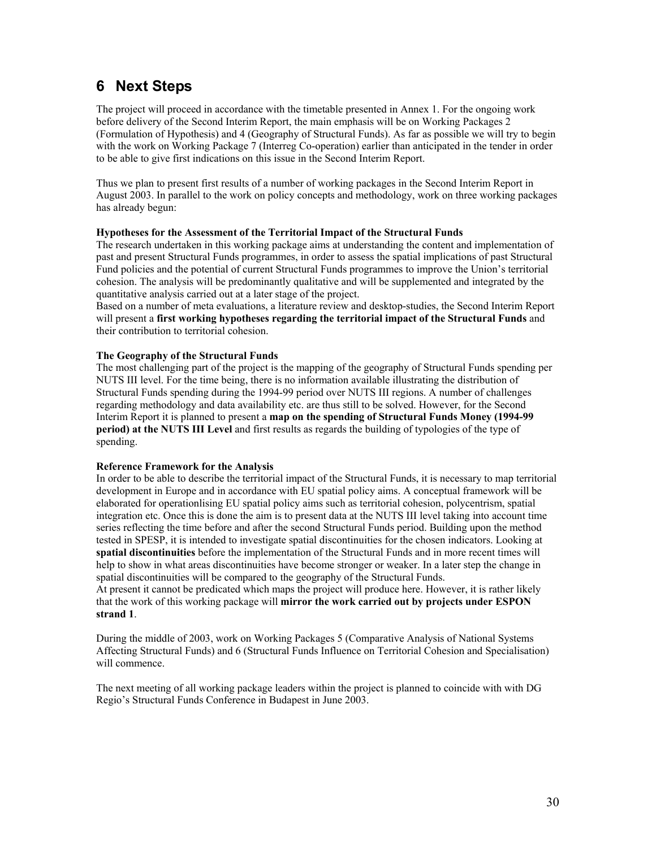## **6 Next Steps**

The project will proceed in accordance with the timetable presented in Annex 1. For the ongoing work before delivery of the Second Interim Report, the main emphasis will be on Working Packages 2 (Formulation of Hypothesis) and 4 (Geography of Structural Funds). As far as possible we will try to begin with the work on Working Package 7 (Interreg Co-operation) earlier than anticipated in the tender in order to be able to give first indications on this issue in the Second Interim Report.

Thus we plan to present first results of a number of working packages in the Second Interim Report in August 2003. In parallel to the work on policy concepts and methodology, work on three working packages has already begun:

#### **Hypotheses for the Assessment of the Territorial Impact of the Structural Funds**

The research undertaken in this working package aims at understanding the content and implementation of past and present Structural Funds programmes, in order to assess the spatial implications of past Structural Fund policies and the potential of current Structural Funds programmes to improve the Union's territorial cohesion. The analysis will be predominantly qualitative and will be supplemented and integrated by the quantitative analysis carried out at a later stage of the project.

Based on a number of meta evaluations, a literature review and desktop-studies, the Second Interim Report will present a **first working hypotheses regarding the territorial impact of the Structural Funds** and their contribution to territorial cohesion.

#### **The Geography of the Structural Funds**

The most challenging part of the project is the mapping of the geography of Structural Funds spending per NUTS III level. For the time being, there is no information available illustrating the distribution of Structural Funds spending during the 1994-99 period over NUTS III regions. A number of challenges regarding methodology and data availability etc. are thus still to be solved. However, for the Second Interim Report it is planned to present a **map on the spending of Structural Funds Money (1994-99 period) at the NUTS III Level** and first results as regards the building of typologies of the type of spending.

#### **Reference Framework for the Analysis**

In order to be able to describe the territorial impact of the Structural Funds, it is necessary to map territorial development in Europe and in accordance with EU spatial policy aims. A conceptual framework will be elaborated for operationlising EU spatial policy aims such as territorial cohesion, polycentrism, spatial integration etc. Once this is done the aim is to present data at the NUTS III level taking into account time series reflecting the time before and after the second Structural Funds period. Building upon the method tested in SPESP, it is intended to investigate spatial discontinuities for the chosen indicators. Looking at **spatial discontinuities** before the implementation of the Structural Funds and in more recent times will help to show in what areas discontinuities have become stronger or weaker. In a later step the change in spatial discontinuities will be compared to the geography of the Structural Funds.

At present it cannot be predicated which maps the project will produce here. However, it is rather likely that the work of this working package will **mirror the work carried out by projects under ESPON strand 1**.

During the middle of 2003, work on Working Packages 5 (Comparative Analysis of National Systems Affecting Structural Funds) and 6 (Structural Funds Influence on Territorial Cohesion and Specialisation) will commence.

The next meeting of all working package leaders within the project is planned to coincide with with DG Regio's Structural Funds Conference in Budapest in June 2003.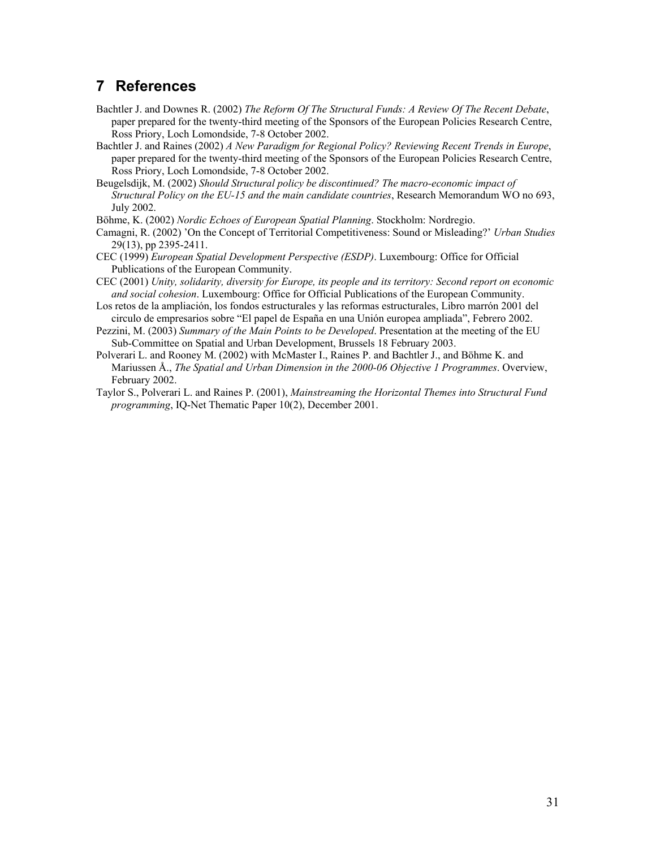## **7 References**

- Bachtler J. and Downes R. (2002) *The Reform Of The Structural Funds: A Review Of The Recent Debate*, paper prepared for the twenty-third meeting of the Sponsors of the European Policies Research Centre, Ross Priory, Loch Lomondside, 7-8 October 2002.
- Bachtler J. and Raines (2002) *A New Paradigm for Regional Policy? Reviewing Recent Trends in Europe*, paper prepared for the twenty-third meeting of the Sponsors of the European Policies Research Centre, Ross Priory, Loch Lomondside, 7-8 October 2002.
- Beugelsdijk, M. (2002) *Should Structural policy be discontinued? The macro-economic impact of Structural Policy on the EU-15 and the main candidate countries*, Research Memorandum WO no 693, July 2002.
- Böhme, K. (2002) *Nordic Echoes of European Spatial Planning*. Stockholm: Nordregio.
- Camagni, R. (2002) 'On the Concept of Territorial Competitiveness: Sound or Misleading?' *Urban Studies* 29(13), pp 2395-2411.
- CEC (1999) *European Spatial Development Perspective (ESDP)*. Luxembourg: Office for Official Publications of the European Community.
- CEC (2001) *Unity, solidarity, diversity for Europe, its people and its territory: Second report on economic and social cohesion*. Luxembourg: Office for Official Publications of the European Community.
- Los retos de la ampliación, los fondos estructurales y las reformas estructurales, Libro marrón 2001 del circulo de empresarios sobre "El papel de España en una Unión europea ampliada", Febrero 2002.
- Pezzini, M. (2003) *Summary of the Main Points to be Developed*. Presentation at the meeting of the EU Sub-Committee on Spatial and Urban Development, Brussels 18 February 2003.
- Polverari L. and Rooney M. (2002) with McMaster I., Raines P. and Bachtler J., and Böhme K. and Mariussen Å., *The Spatial and Urban Dimension in the 2000-06 Objective 1 Programmes*. Overview, February 2002.
- Taylor S., Polverari L. and Raines P. (2001), *Mainstreaming the Horizontal Themes into Structural Fund programming*, IQ-Net Thematic Paper 10(2), December 2001.